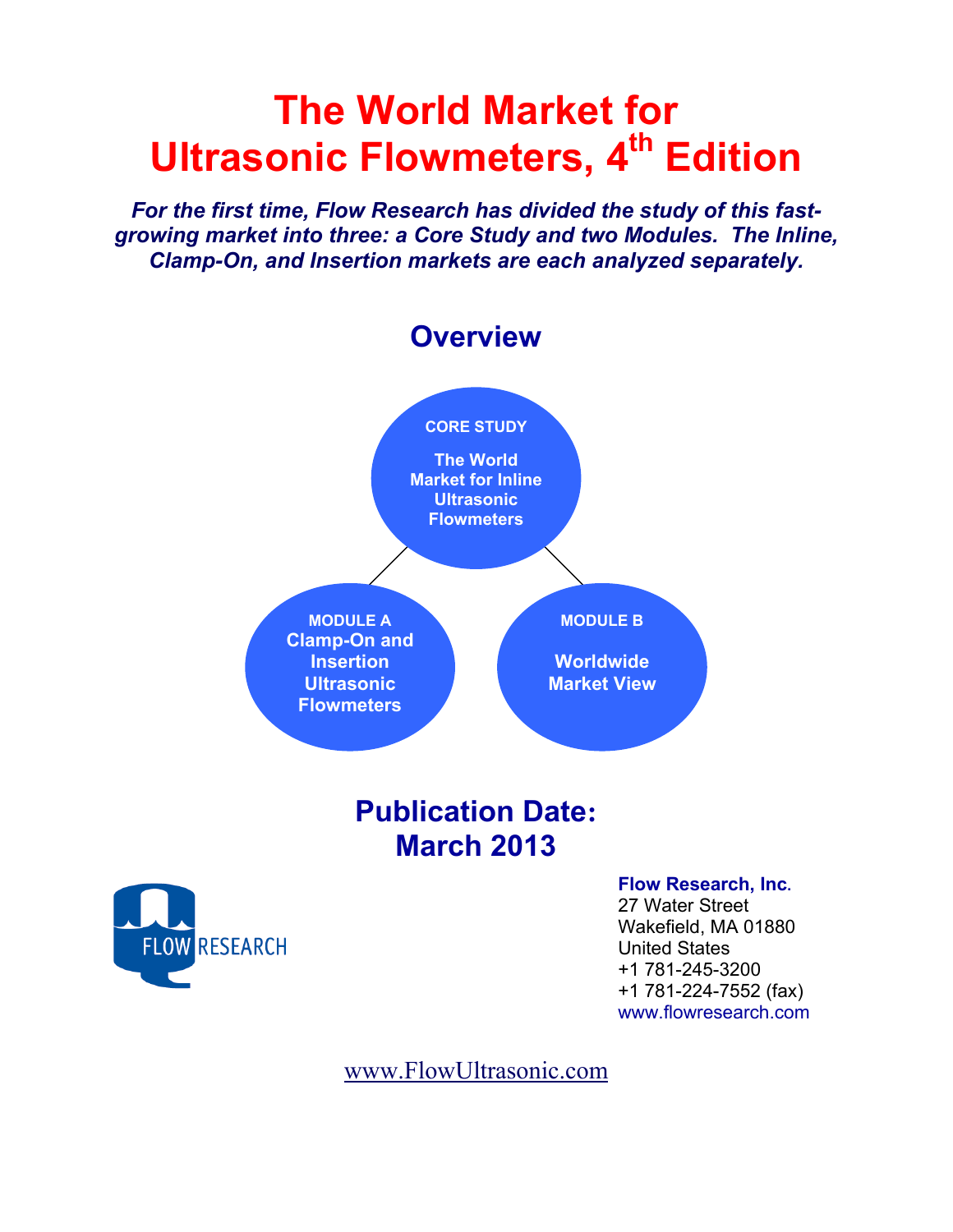# **The World Market for Ultrasonic Flowmeters, 4th Edition**

*For the first time, Flow Research has divided the study of this fastgrowing market into three: a Core Study and two Modules. The Inline, Clamp-On, and Insertion markets are each analyzed separately.* 



www.FlowUltrasonic.com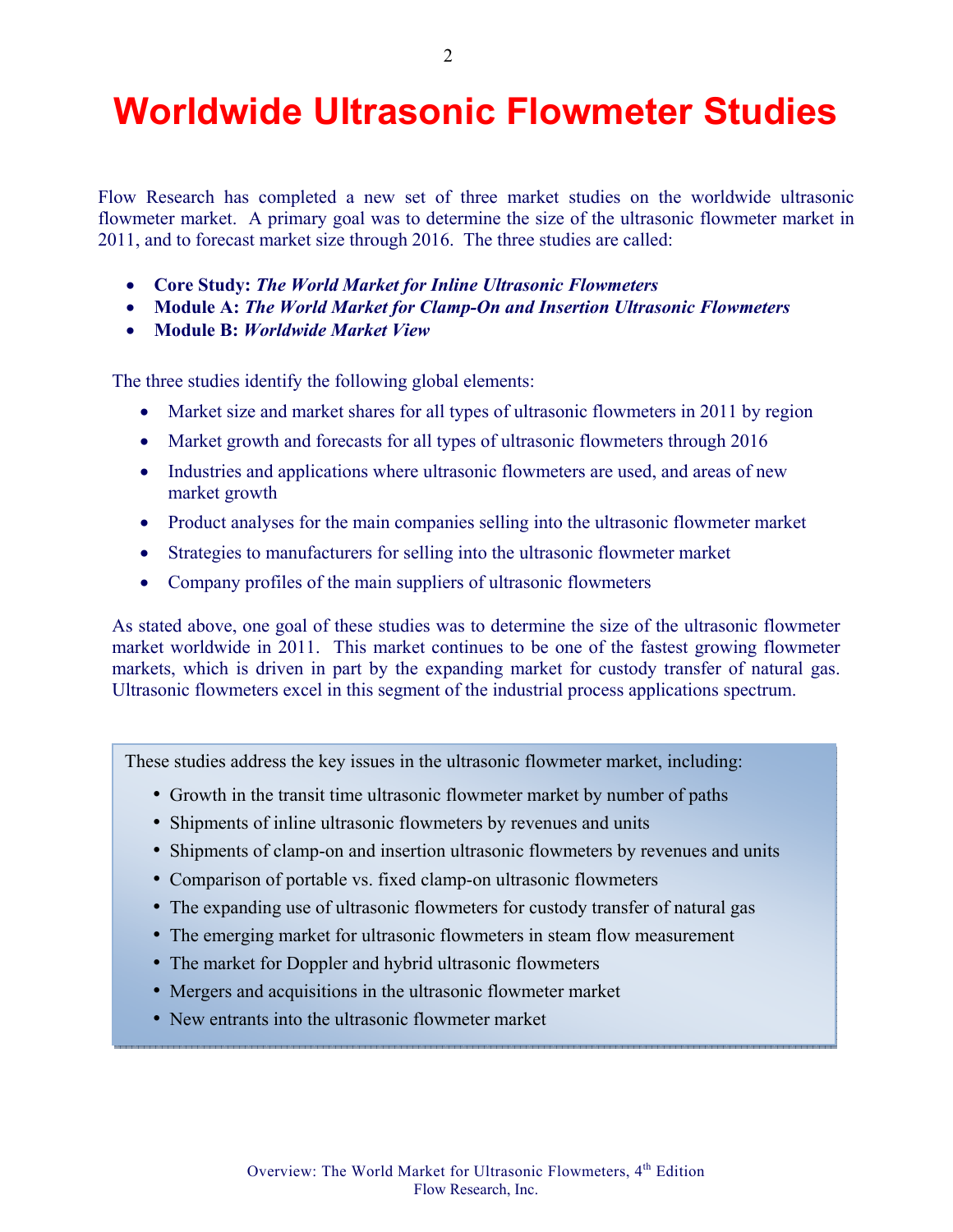# **Worldwide Ultrasonic Flowmeter Studies**

Flow Research has completed a new set of three market studies on the worldwide ultrasonic flowmeter market. A primary goal was to determine the size of the ultrasonic flowmeter market in 2011, and to forecast market size through 2016. The three studies are called:

- **Core Study:** *The World Market for Inline Ultrasonic Flowmeters*
- **Module A:** *The World Market for Clamp-On and Insertion Ultrasonic Flowmeters*
- **Module B:** *Worldwide Market View*

The three studies identify the following global elements:

- Market size and market shares for all types of ultrasonic flowmeters in 2011 by region
- Market growth and forecasts for all types of ultrasonic flowmeters through 2016
- Industries and applications where ultrasonic flowmeters are used, and areas of new market growth
- Product analyses for the main companies selling into the ultrasonic flowmeter market
- Strategies to manufacturers for selling into the ultrasonic flowmeter market
- Company profiles of the main suppliers of ultrasonic flowmeters

As stated above, one goal of these studies was to determine the size of the ultrasonic flowmeter market worldwide in 2011. This market continues to be one of the fastest growing flowmeter markets, which is driven in part by the expanding market for custody transfer of natural gas. Ultrasonic flowmeters excel in this segment of the industrial process applications spectrum.

These studies address the key issues in the ultrasonic flowmeter market, including:

- Growth in the transit time ultrasonic flowmeter market by number of paths
- Shipments of inline ultrasonic flowmeters by revenues and units
- Shipments of clamp-on and insertion ultrasonic flowmeters by revenues and units
- Comparison of portable vs. fixed clamp-on ultrasonic flowmeters
- The expanding use of ultrasonic flowmeters for custody transfer of natural gas
- The emerging market for ultrasonic flowmeters in steam flow measurement
- The market for Doppler and hybrid ultrasonic flowmeters
- Mergers and acquisitions in the ultrasonic flowmeter market
- New entrants into the ultrasonic flowmeter market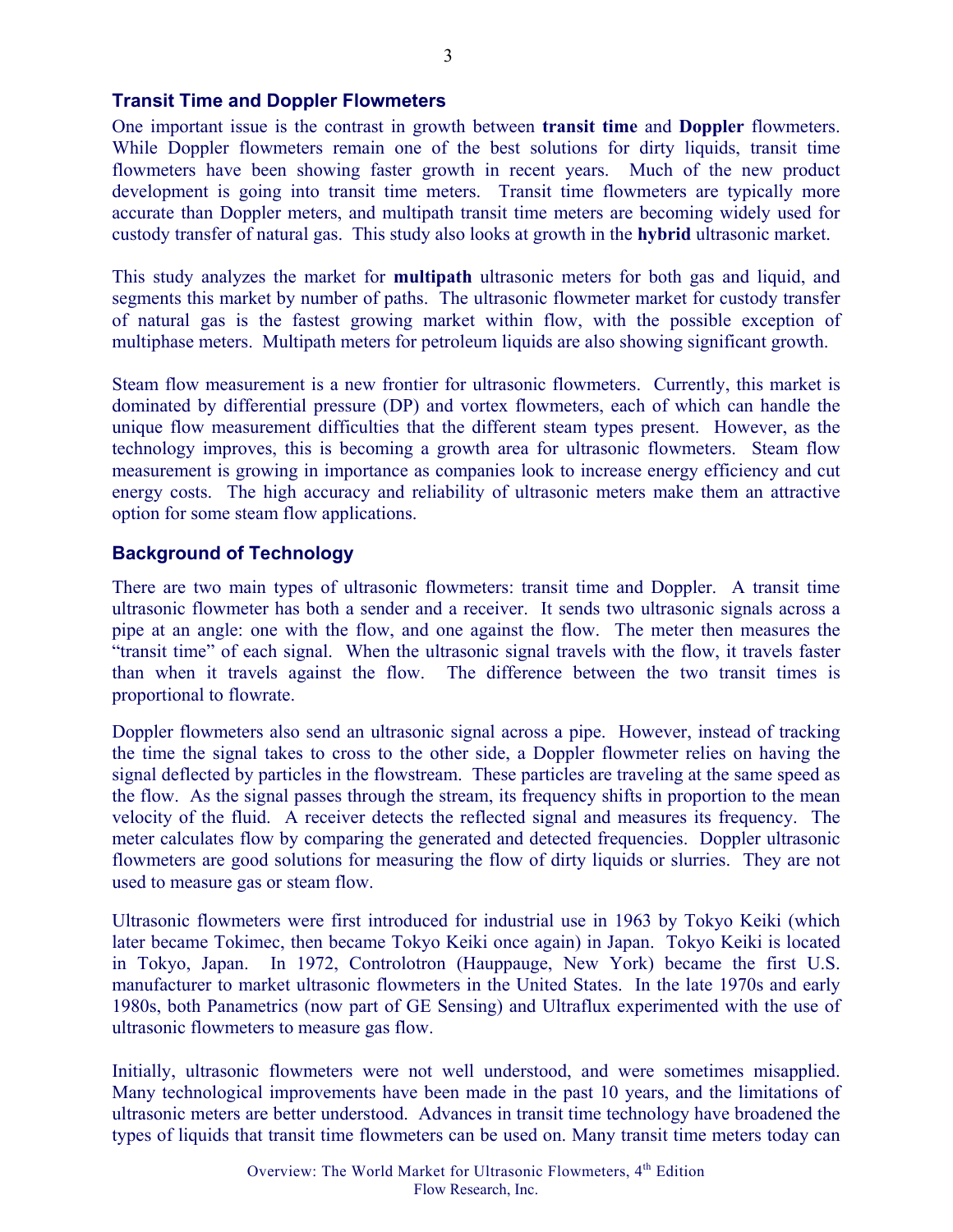#### **Transit Time and Doppler Flowmeters**

One important issue is the contrast in growth between **transit time** and **Doppler** flowmeters. While Doppler flowmeters remain one of the best solutions for dirty liquids, transit time flowmeters have been showing faster growth in recent years. Much of the new product development is going into transit time meters. Transit time flowmeters are typically more accurate than Doppler meters, and multipath transit time meters are becoming widely used for custody transfer of natural gas. This study also looks at growth in the **hybrid** ultrasonic market.

This study analyzes the market for **multipath** ultrasonic meters for both gas and liquid, and segments this market by number of paths. The ultrasonic flowmeter market for custody transfer of natural gas is the fastest growing market within flow, with the possible exception of multiphase meters. Multipath meters for petroleum liquids are also showing significant growth.

Steam flow measurement is a new frontier for ultrasonic flowmeters. Currently, this market is dominated by differential pressure (DP) and vortex flowmeters, each of which can handle the unique flow measurement difficulties that the different steam types present. However, as the technology improves, this is becoming a growth area for ultrasonic flowmeters. Steam flow measurement is growing in importance as companies look to increase energy efficiency and cut energy costs. The high accuracy and reliability of ultrasonic meters make them an attractive option for some steam flow applications.

#### **Background of Technology**

There are two main types of ultrasonic flowmeters: transit time and Doppler. A transit time ultrasonic flowmeter has both a sender and a receiver. It sends two ultrasonic signals across a pipe at an angle: one with the flow, and one against the flow. The meter then measures the "transit time" of each signal. When the ultrasonic signal travels with the flow, it travels faster than when it travels against the flow. The difference between the two transit times is proportional to flowrate.

Doppler flowmeters also send an ultrasonic signal across a pipe. However, instead of tracking the time the signal takes to cross to the other side, a Doppler flowmeter relies on having the signal deflected by particles in the flowstream. These particles are traveling at the same speed as the flow. As the signal passes through the stream, its frequency shifts in proportion to the mean velocity of the fluid. A receiver detects the reflected signal and measures its frequency. The meter calculates flow by comparing the generated and detected frequencies. Doppler ultrasonic flowmeters are good solutions for measuring the flow of dirty liquids or slurries. They are not used to measure gas or steam flow.

Ultrasonic flowmeters were first introduced for industrial use in 1963 by Tokyo Keiki (which later became Tokimec, then became Tokyo Keiki once again) in Japan. Tokyo Keiki is located in Tokyo, Japan. In 1972, Controlotron (Hauppauge, New York) became the first U.S. manufacturer to market ultrasonic flowmeters in the United States. In the late 1970s and early 1980s, both Panametrics (now part of GE Sensing) and Ultraflux experimented with the use of ultrasonic flowmeters to measure gas flow.

Initially, ultrasonic flowmeters were not well understood, and were sometimes misapplied. Many technological improvements have been made in the past 10 years, and the limitations of ultrasonic meters are better understood. Advances in transit time technology have broadened the types of liquids that transit time flowmeters can be used on. Many transit time meters today can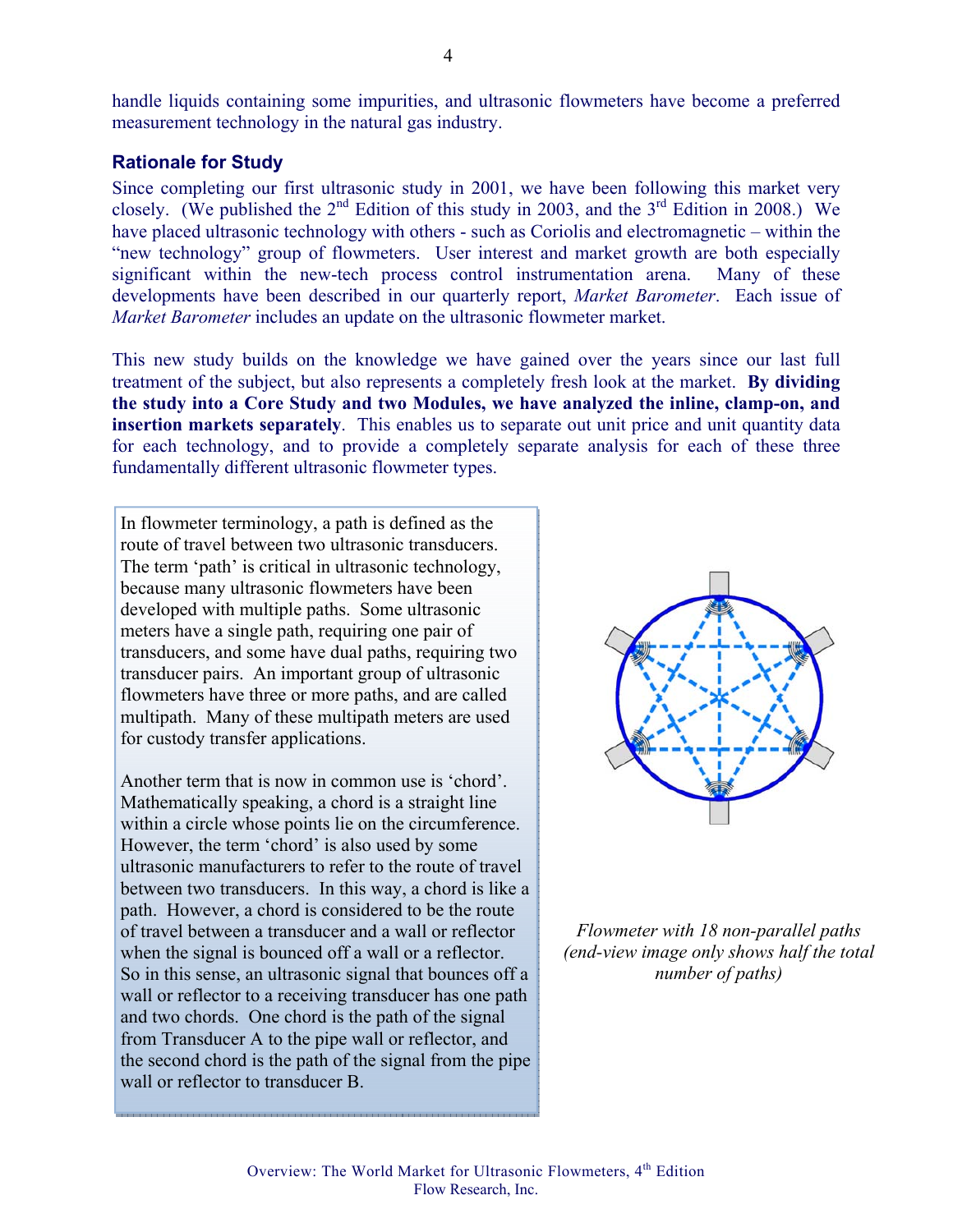handle liquids containing some impurities, and ultrasonic flowmeters have become a preferred measurement technology in the natural gas industry.

#### **Rationale for Study**

Since completing our first ultrasonic study in 2001, we have been following this market very closely. (We published the  $2^{nd}$  Edition of this study in 2003, and the  $3^{rd}$  Edition in 2008.) We have placed ultrasonic technology with others - such as Coriolis and electromagnetic – within the "new technology" group of flowmeters. User interest and market growth are both especially significant within the new-tech process control instrumentation arena. Many of these developments have been described in our quarterly report, *Market Barometer*. Each issue of *Market Barometer* includes an update on the ultrasonic flowmeter market.

This new study builds on the knowledge we have gained over the years since our last full treatment of the subject, but also represents a completely fresh look at the market. **By dividing the study into a Core Study and two Modules, we have analyzed the inline, clamp-on, and insertion markets separately**. This enables us to separate out unit price and unit quantity data for each technology, and to provide a completely separate analysis for each of these three fundamentally different ultrasonic flowmeter types.

In flowmeter terminology, a path is defined as the route of travel between two ultrasonic transducers. The term 'path' is critical in ultrasonic technology, because many ultrasonic flowmeters have been developed with multiple paths. Some ultrasonic meters have a single path, requiring one pair of transducers, and some have dual paths, requiring two transducer pairs. An important group of ultrasonic flowmeters have three or more paths, and are called multipath. Many of these multipath meters are used for custody transfer applications.

Another term that is now in common use is 'chord'. Mathematically speaking, a chord is a straight line within a circle whose points lie on the circumference. However, the term 'chord' is also used by some ultrasonic manufacturers to refer to the route of travel between two transducers. In this way, a chord is like a path. However, a chord is considered to be the route of travel between a transducer and a wall or reflector when the signal is bounced off a wall or a reflector. So in this sense, an ultrasonic signal that bounces off a wall or reflector to a receiving transducer has one path and two chords. One chord is the path of the signal from Transducer A to the pipe wall or reflector, and the second chord is the path of the signal from the pipe wall or reflector to transducer B.



*Flowmeter with 18 non-parallel paths (end-view image only shows half the total number of paths)*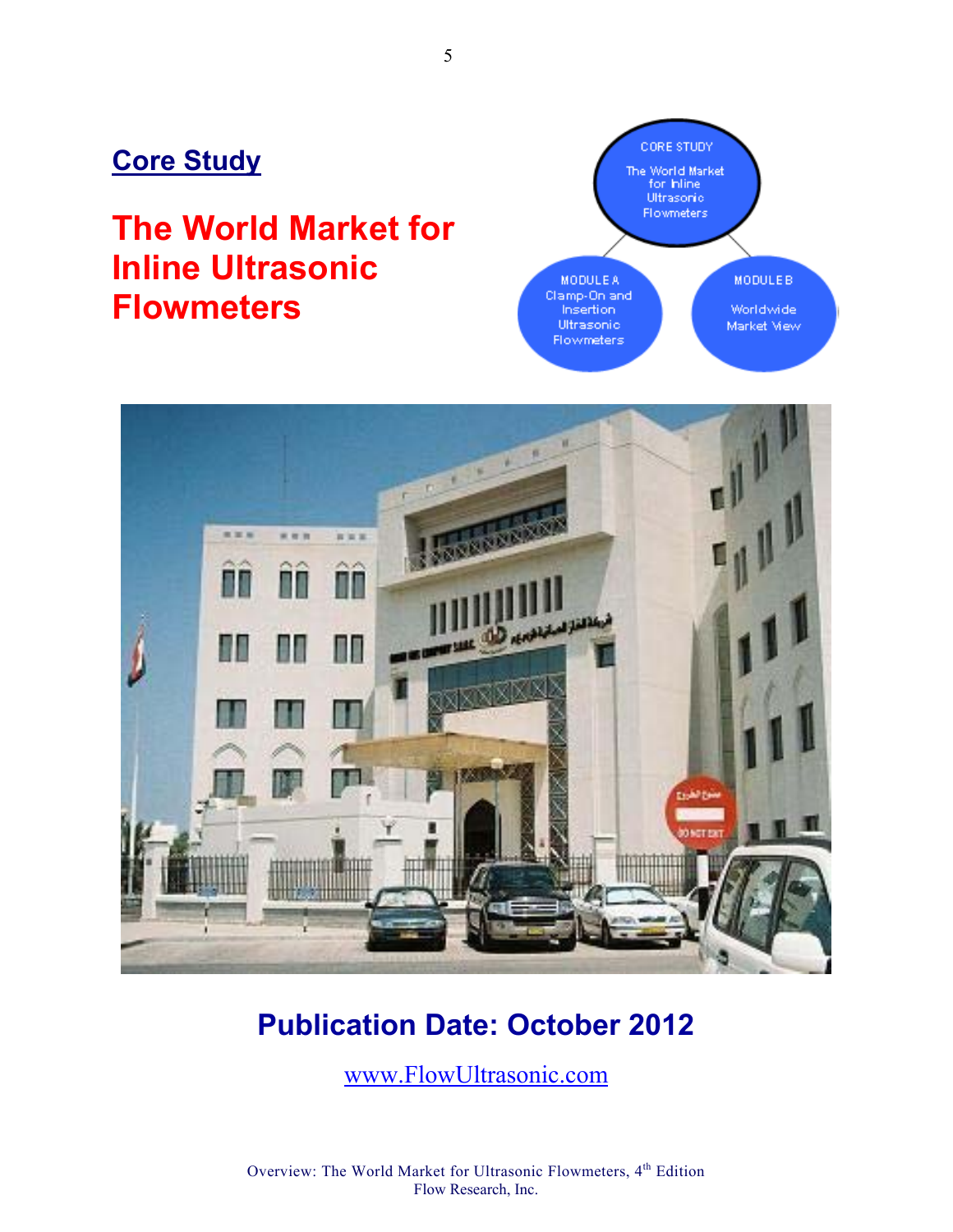## **Core Study**

# **The World Market for Inline Ultrasonic Flowmeters**





# **Publication Date: October 2012**

www.FlowUltrasonic.com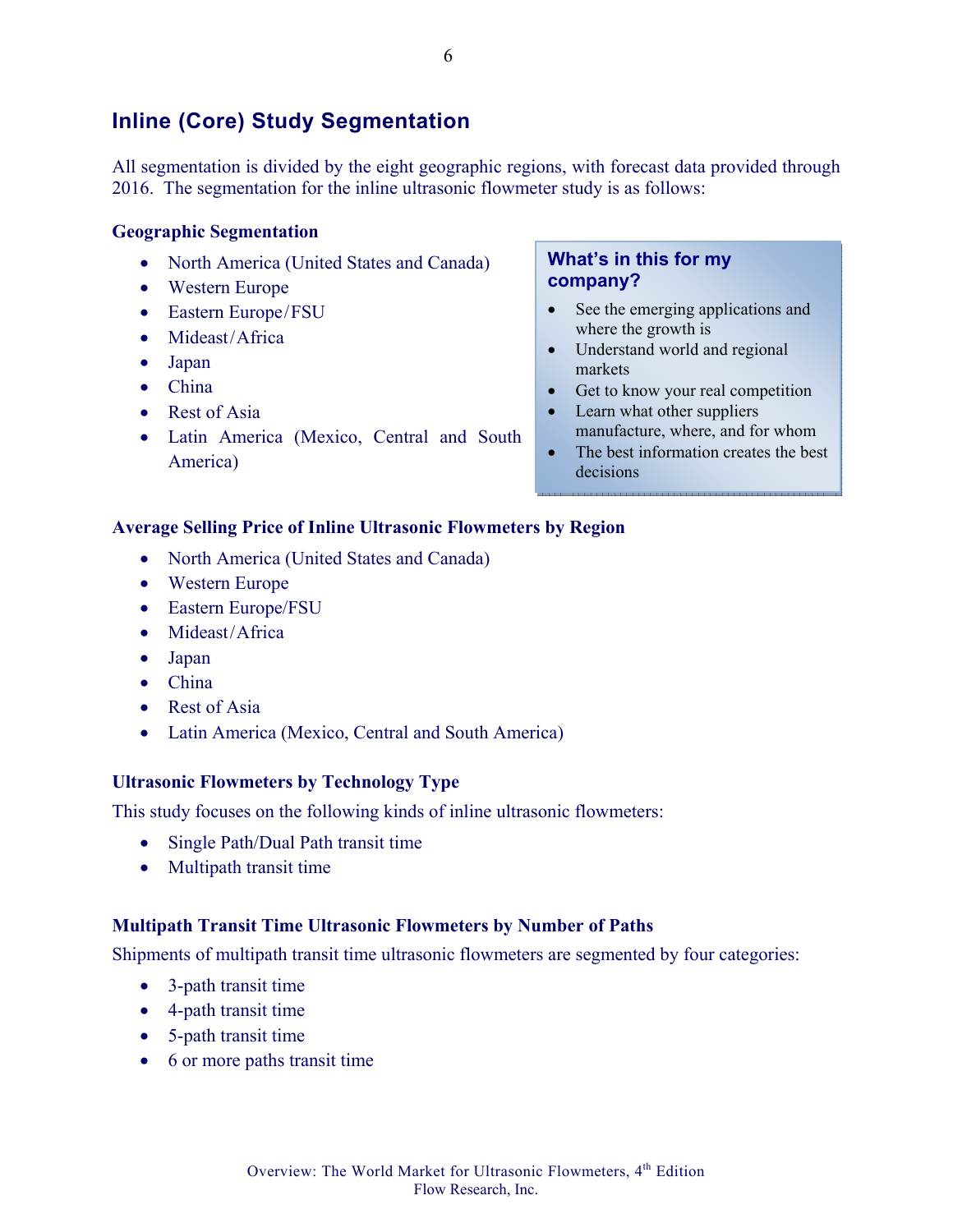## **Inline (Core) Study Segmentation**

All segmentation is divided by the eight geographic regions, with forecast data provided through 2016. The segmentation for the inline ultrasonic flowmeter study is as follows:

#### **Geographic Segmentation**

- North America (United States and Canada)
- Western Europe
- Eastern Europe/FSU
- Mideast/Africa
- Japan
- China
- Rest of Asia
- Latin America (Mexico, Central and South America)

#### **What's in this for my company?**

- See the emerging applications and where the growth is
- Understand world and regional markets
- Get to know your real competition
- Learn what other suppliers manufacture, where, and for whom
- The best information creates the best decisions

#### **Average Selling Price of Inline Ultrasonic Flowmeters by Region**

- North America (United States and Canada)
- Western Europe
- Eastern Europe/FSU
- Mideast/Africa
- Japan
- China
- Rest of Asia
- Latin America (Mexico, Central and South America)

#### **Ultrasonic Flowmeters by Technology Type**

This study focuses on the following kinds of inline ultrasonic flowmeters:

- Single Path/Dual Path transit time
- Multipath transit time

#### **Multipath Transit Time Ultrasonic Flowmeters by Number of Paths**

Shipments of multipath transit time ultrasonic flowmeters are segmented by four categories:

- 3-path transit time
- 4-path transit time
- 5-path transit time
- 6 or more paths transit time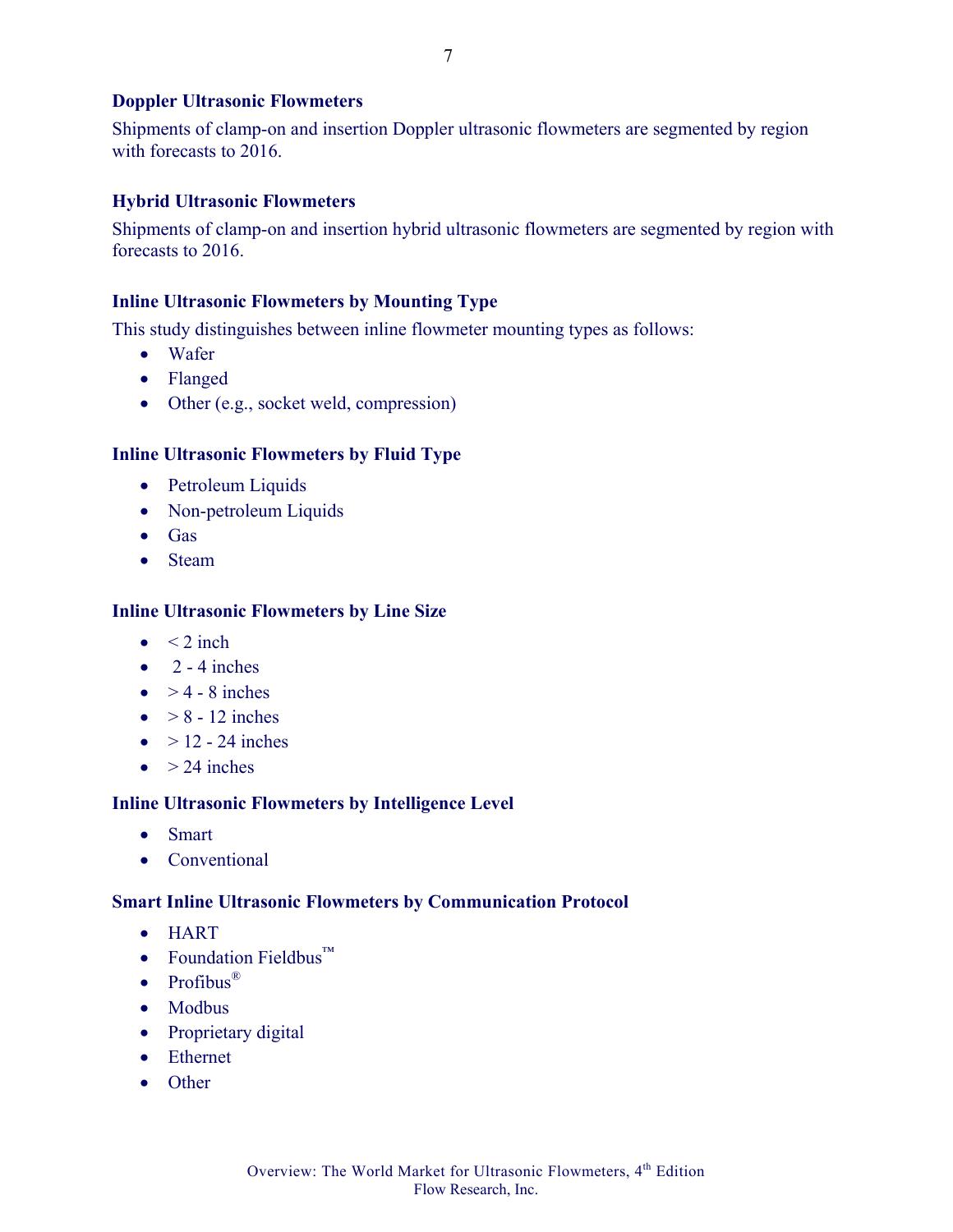#### **Doppler Ultrasonic Flowmeters**

Shipments of clamp-on and insertion Doppler ultrasonic flowmeters are segmented by region with forecasts to 2016.

#### **Hybrid Ultrasonic Flowmeters**

Shipments of clamp-on and insertion hybrid ultrasonic flowmeters are segmented by region with forecasts to 2016.

#### **Inline Ultrasonic Flowmeters by Mounting Type**

This study distinguishes between inline flowmeter mounting types as follows:

- Wafer
- Flanged
- Other (e.g., socket weld, compression)

#### **Inline Ultrasonic Flowmeters by Fluid Type**

- Petroleum Liquids
- Non-petroleum Liquids
- Gas
- Steam

#### **Inline Ultrasonic Flowmeters by Line Size**

- $\bullet \quad < 2$  inch
- $\bullet$  2 4 inches
- $\bullet$  > 4 8 inches
- $\bullet \quad > 8 12$  inches
- $\bullet$  > 12 24 inches
- $\bullet$  > 24 inches

#### **Inline Ultrasonic Flowmeters by Intelligence Level**

- Smart
- Conventional

#### **Smart Inline Ultrasonic Flowmeters by Communication Protocol**

- HART
- Foundation Fieldbus™
- Profibus $^{\circ}$
- Modbus
- Proprietary digital
- Ethernet
- Other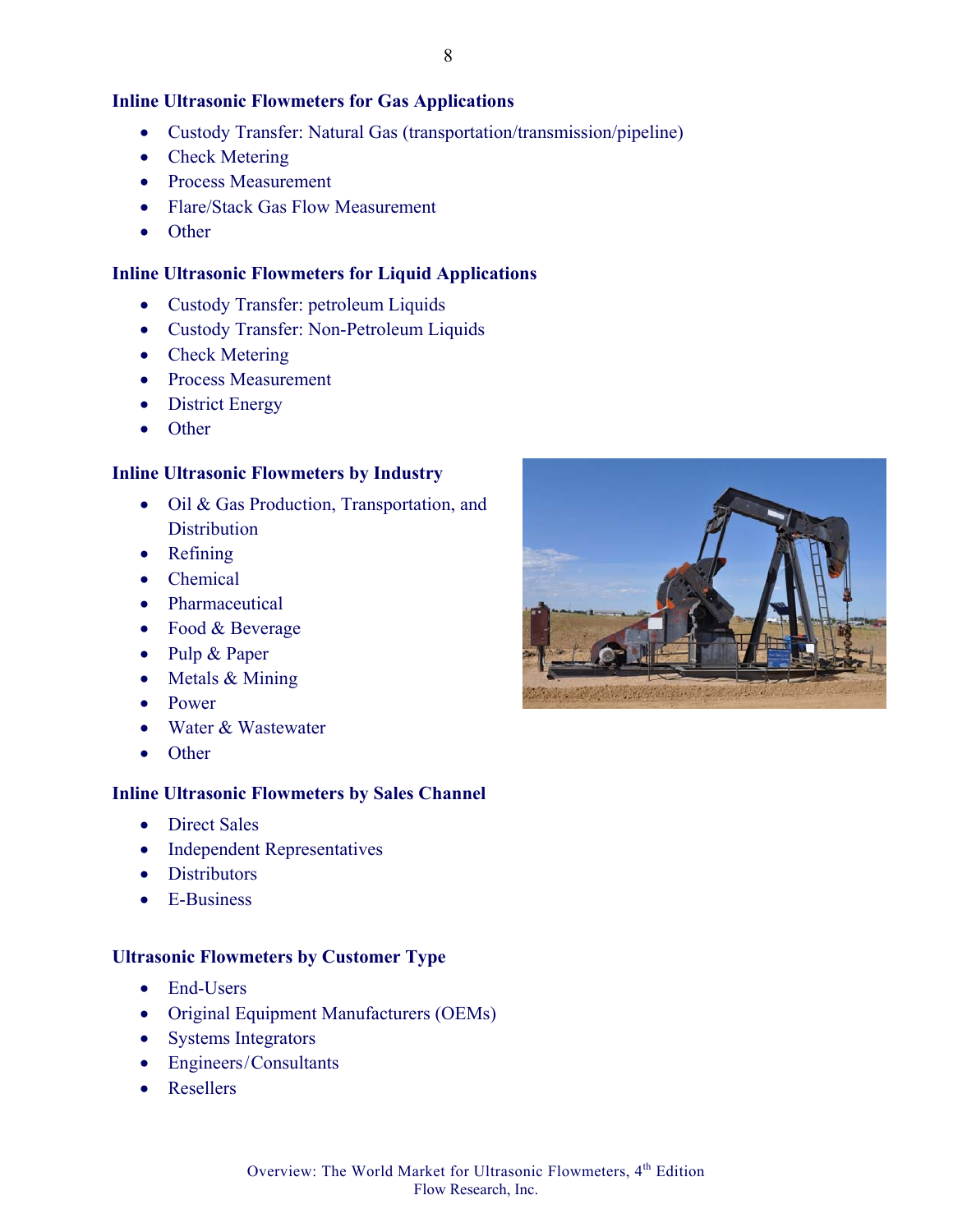#### **Inline Ultrasonic Flowmeters for Gas Applications**

- Custody Transfer: Natural Gas (transportation/transmission/pipeline)
- Check Metering
- Process Measurement
- Flare/Stack Gas Flow Measurement
- Other

#### **Inline Ultrasonic Flowmeters for Liquid Applications**

- Custody Transfer: petroleum Liquids
- Custody Transfer: Non-Petroleum Liquids
- Check Metering
- Process Measurement
- District Energy
- Other

#### **Inline Ultrasonic Flowmeters by Industry**

- Oil & Gas Production, Transportation, and **Distribution**
- Refining
- Chemical
- Pharmaceutical
- Food & Beverage
- Pulp & Paper
- Metals & Mining
- Power
- Water & Wastewater
- Other

#### **Inline Ultrasonic Flowmeters by Sales Channel**

- Direct Sales
- Independent Representatives
- Distributors
- E-Business

#### **Ultrasonic Flowmeters by Customer Type**

- End-Users
- Original Equipment Manufacturers (OEMs)
- Systems Integrators
- Engineers/Consultants
- Resellers



Overview: The World Market for Ultrasonic Flowmeters, 4<sup>th</sup> Edition Flow Research, Inc.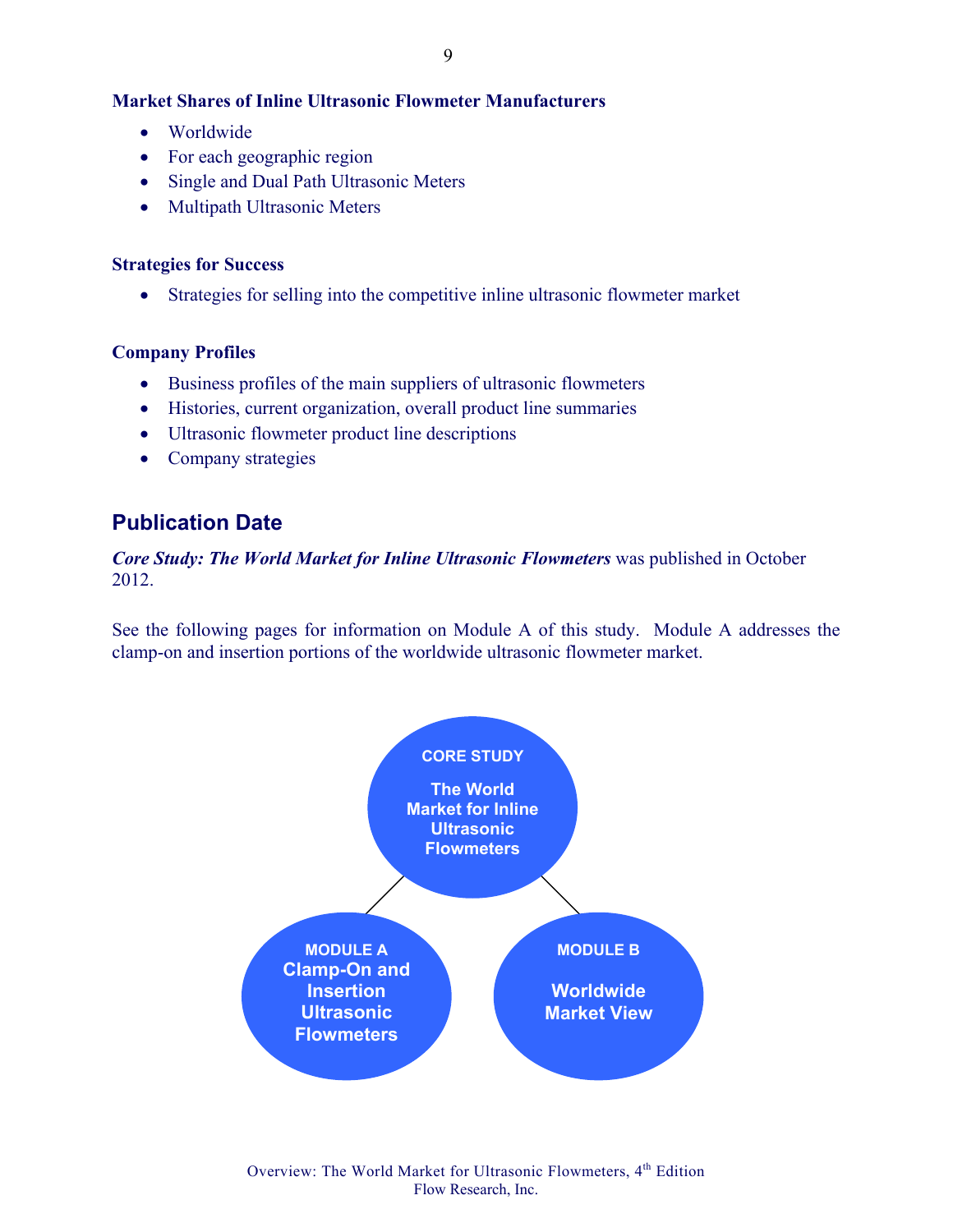#### **Market Shares of Inline Ultrasonic Flowmeter Manufacturers**

- Worldwide
- For each geographic region
- Single and Dual Path Ultrasonic Meters
- Multipath Ultrasonic Meters

#### **Strategies for Success**

• Strategies for selling into the competitive inline ultrasonic flowmeter market

#### **Company Profiles**

- Business profiles of the main suppliers of ultrasonic flowmeters
- Histories, current organization, overall product line summaries
- Ultrasonic flowmeter product line descriptions
- Company strategies

## **Publication Date**

*Core Study: The World Market for Inline Ultrasonic Flowmeters* was published in October 2012.

See the following pages for information on Module A of this study. Module A addresses the clamp-on and insertion portions of the worldwide ultrasonic flowmeter market.

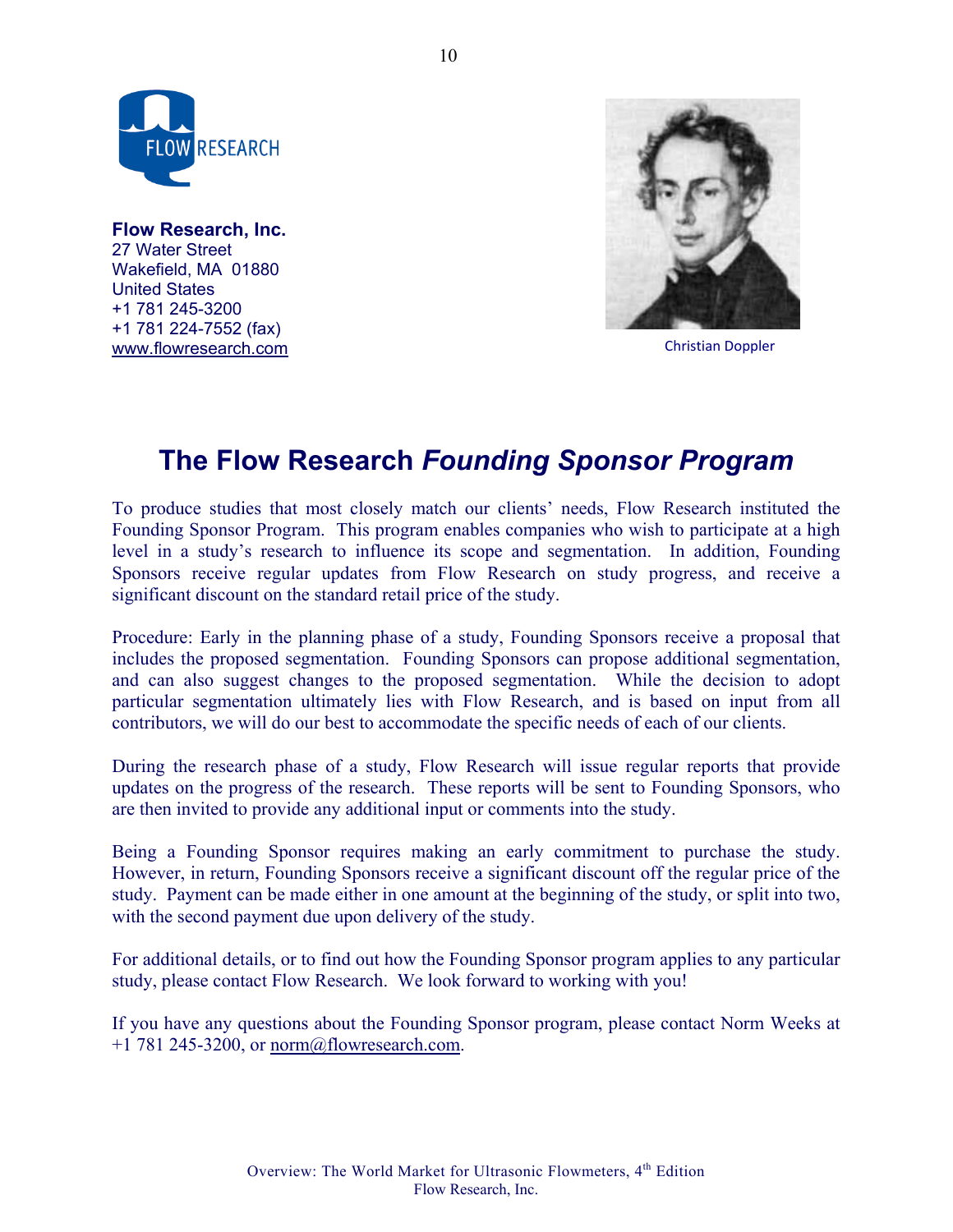

**Flow Research, Inc.**  27 Water Street Wakefield, MA 01880 United States +1 781 245-3200 +1 781 224-7552 (fax) www.flowresearch.com



Christian Doppler

## **The Flow Research** *Founding Sponsor Program*

To produce studies that most closely match our clients' needs, Flow Research instituted the Founding Sponsor Program. This program enables companies who wish to participate at a high level in a study's research to influence its scope and segmentation. In addition, Founding Sponsors receive regular updates from Flow Research on study progress, and receive a significant discount on the standard retail price of the study.

Procedure: Early in the planning phase of a study, Founding Sponsors receive a proposal that includes the proposed segmentation. Founding Sponsors can propose additional segmentation, and can also suggest changes to the proposed segmentation. While the decision to adopt particular segmentation ultimately lies with Flow Research, and is based on input from all contributors, we will do our best to accommodate the specific needs of each of our clients.

During the research phase of a study, Flow Research will issue regular reports that provide updates on the progress of the research. These reports will be sent to Founding Sponsors, who are then invited to provide any additional input or comments into the study.

Being a Founding Sponsor requires making an early commitment to purchase the study. However, in return, Founding Sponsors receive a significant discount off the regular price of the study. Payment can be made either in one amount at the beginning of the study, or split into two, with the second payment due upon delivery of the study.

For additional details, or to find out how the Founding Sponsor program applies to any particular study, please contact Flow Research. We look forward to working with you!

If you have any questions about the Founding Sponsor program, please contact Norm Weeks at  $+1$  781 245-3200, or norm@flowresearch.com.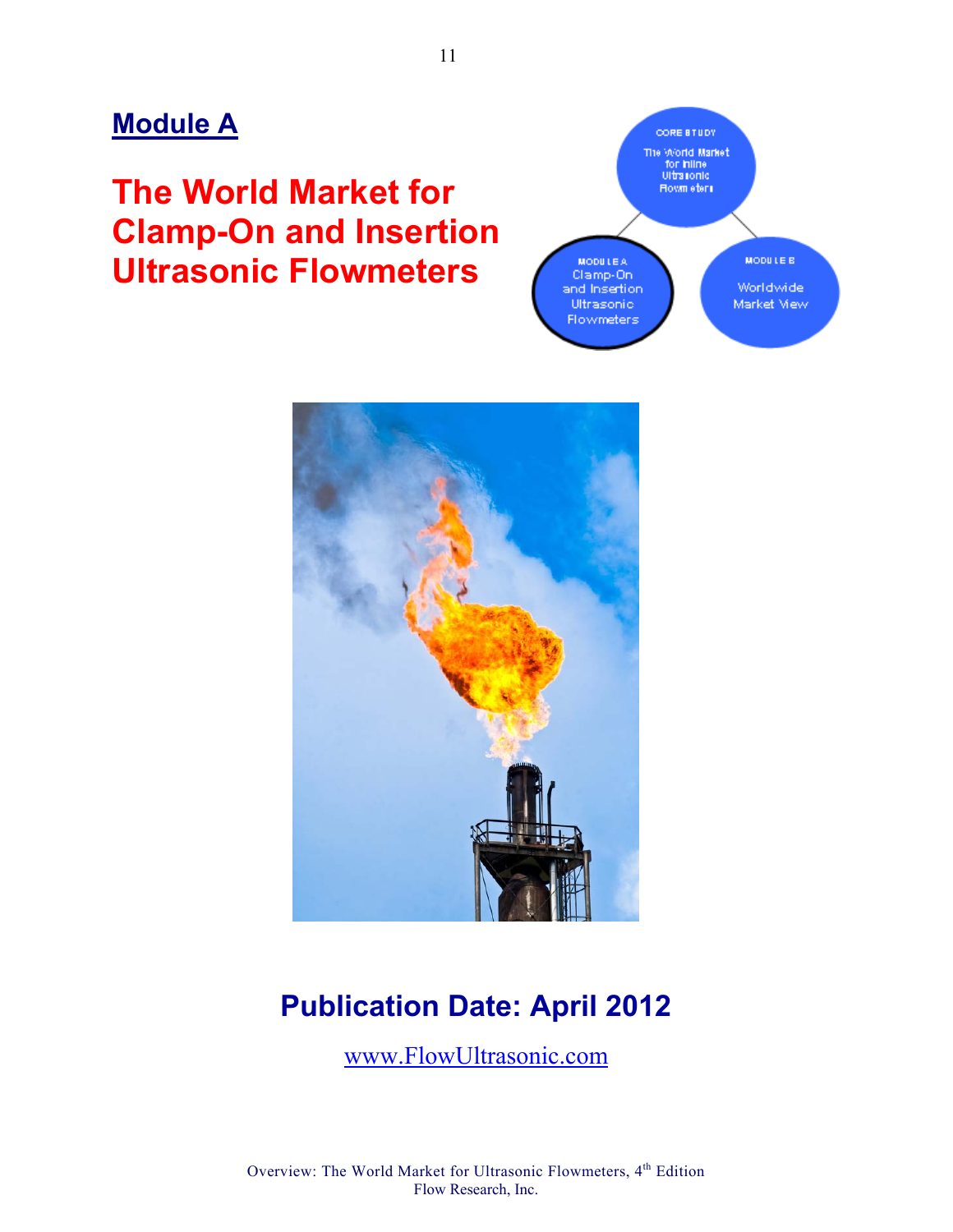## **Module A**

# **The World Market for Clamp-On and Insertion Ultrasonic Flowmeters**





# **Publication Date: April 2012**

www.FlowUltrasonic.com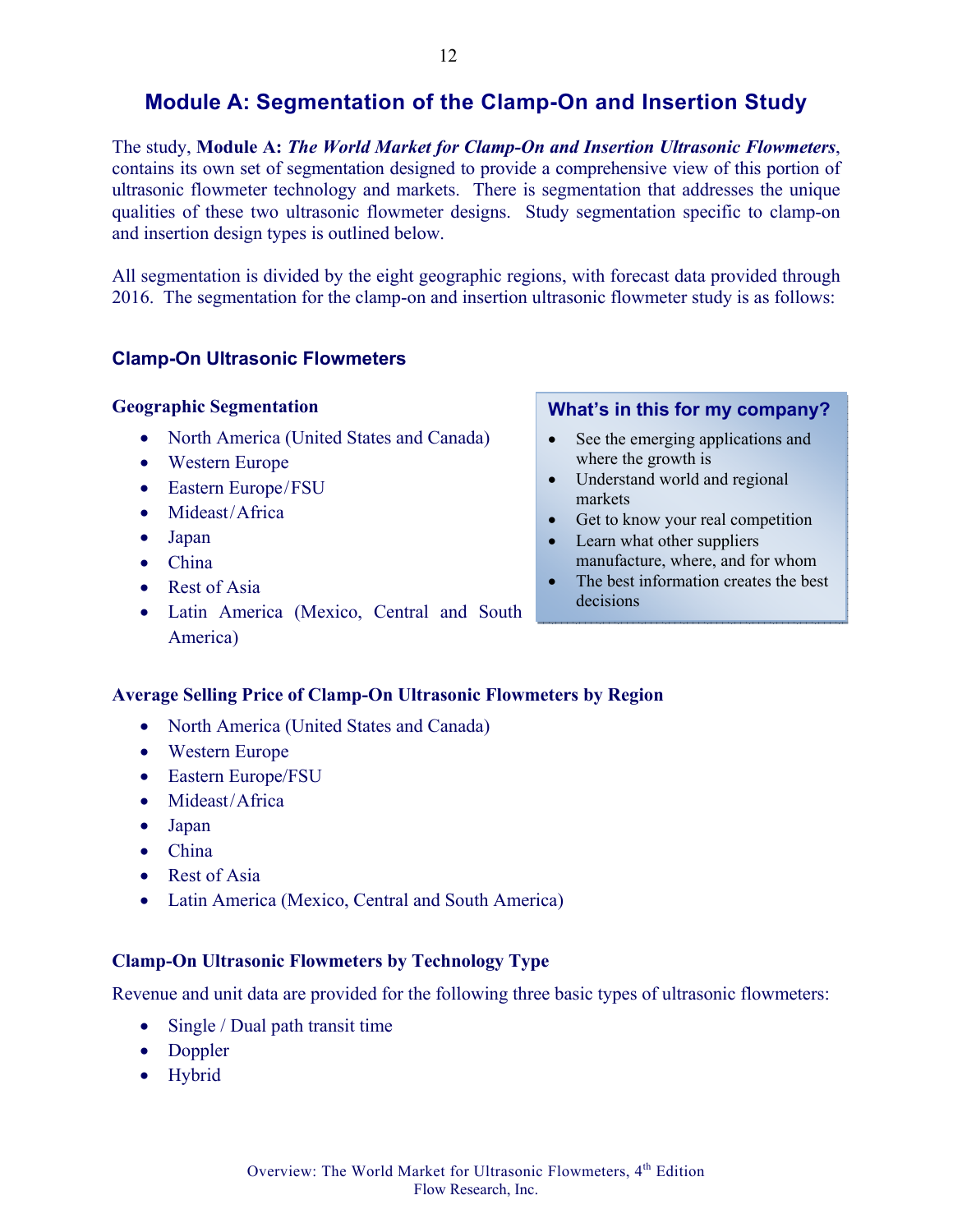The study, **Module A:** *The World Market for Clamp-On and Insertion Ultrasonic Flowmeters*, contains its own set of segmentation designed to provide a comprehensive view of this portion of ultrasonic flowmeter technology and markets. There is segmentation that addresses the unique qualities of these two ultrasonic flowmeter designs. Study segmentation specific to clamp-on and insertion design types is outlined below.

All segmentation is divided by the eight geographic regions, with forecast data provided through 2016. The segmentation for the clamp-on and insertion ultrasonic flowmeter study is as follows:

#### **Clamp-On Ultrasonic Flowmeters**

#### **Geographic Segmentation**

- North America (United States and Canada)
- Western Europe
- Eastern Europe/FSU
- Mideast/Africa
- Japan
- China
- Rest of Asia
- Latin America (Mexico, Central and South America)

#### **What's in this for my company?**

- See the emerging applications and where the growth is
- Understand world and regional markets
- Get to know your real competition
- Learn what other suppliers manufacture, where, and for whom
- The best information creates the best decisions

#### **Average Selling Price of Clamp-On Ultrasonic Flowmeters by Region**

- North America (United States and Canada)
- Western Europe
- Eastern Europe/FSU
- Mideast/Africa
- Japan
- China
- Rest of Asia
- Latin America (Mexico, Central and South America)

#### **Clamp-On Ultrasonic Flowmeters by Technology Type**

Revenue and unit data are provided for the following three basic types of ultrasonic flowmeters:

- Single / Dual path transit time
- Doppler
- Hybrid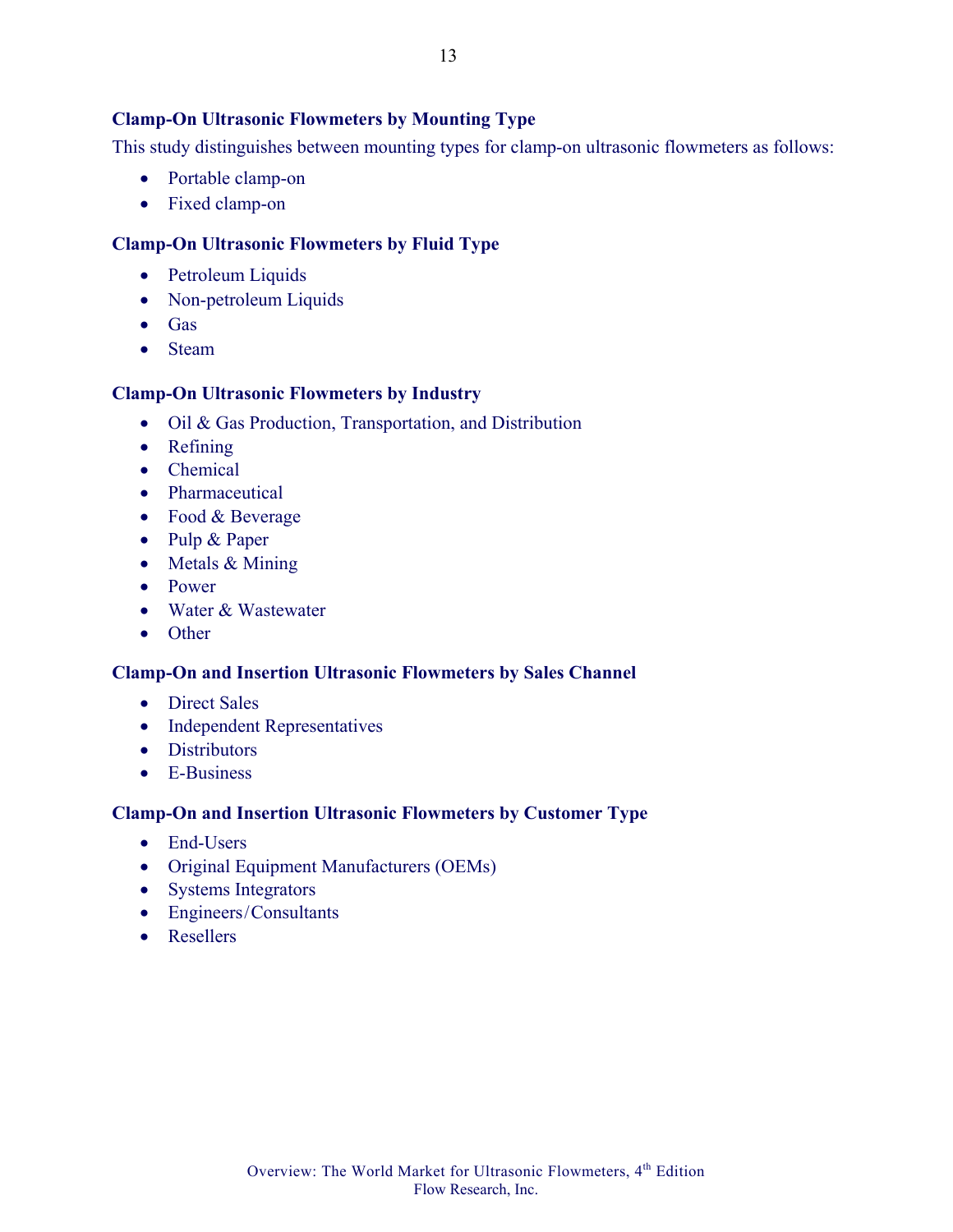#### **Clamp-On Ultrasonic Flowmeters by Mounting Type**

This study distinguishes between mounting types for clamp-on ultrasonic flowmeters as follows:

- Portable clamp-on
- Fixed clamp-on

#### **Clamp-On Ultrasonic Flowmeters by Fluid Type**

- Petroleum Liquids
- Non-petroleum Liquids
- Gas
- Steam

#### **Clamp-On Ultrasonic Flowmeters by Industry**

- Oil & Gas Production, Transportation, and Distribution
- Refining
- Chemical
- Pharmaceutical
- Food & Beverage
- Pulp & Paper
- Metals & Mining
- Power
- Water & Wastewater
- Other

#### **Clamp-On and Insertion Ultrasonic Flowmeters by Sales Channel**

- Direct Sales
- Independent Representatives
- Distributors
- E-Business

#### **Clamp-On and Insertion Ultrasonic Flowmeters by Customer Type**

- End-Users
- Original Equipment Manufacturers (OEMs)
- Systems Integrators
- Engineers/Consultants
- Resellers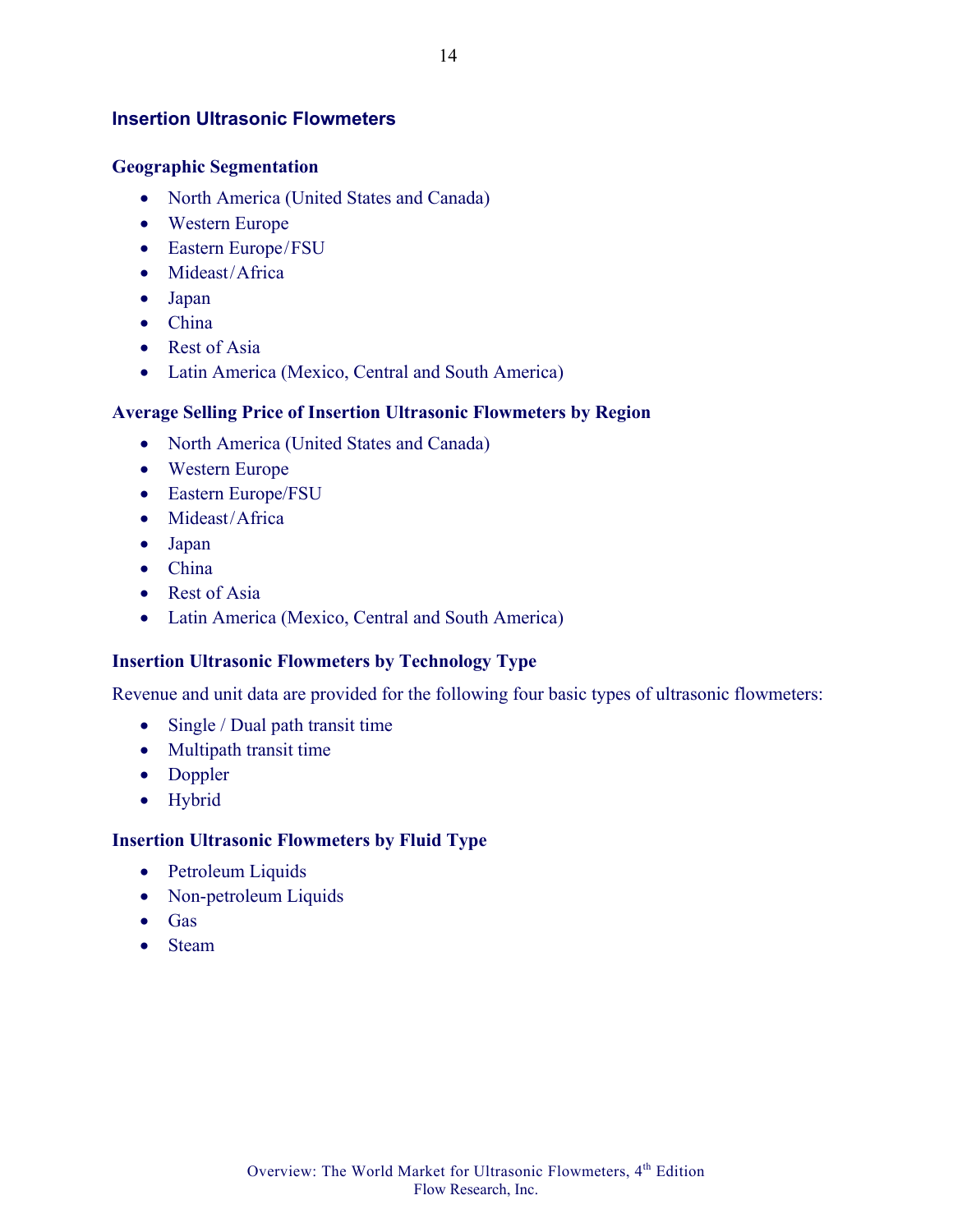#### **Insertion Ultrasonic Flowmeters**

#### **Geographic Segmentation**

- North America (United States and Canada)
- Western Europe
- Eastern Europe/FSU
- Mideast/Africa
- Japan
- China
- Rest of Asia
- Latin America (Mexico, Central and South America)

#### **Average Selling Price of Insertion Ultrasonic Flowmeters by Region**

- North America (United States and Canada)
- Western Europe
- Eastern Europe/FSU
- Mideast/Africa
- Japan
- China
- Rest of Asia
- Latin America (Mexico, Central and South America)

#### **Insertion Ultrasonic Flowmeters by Technology Type**

Revenue and unit data are provided for the following four basic types of ultrasonic flowmeters:

- Single / Dual path transit time
- Multipath transit time
- Doppler
- Hybrid

#### **Insertion Ultrasonic Flowmeters by Fluid Type**

- Petroleum Liquids
- Non-petroleum Liquids
- Gas
- Steam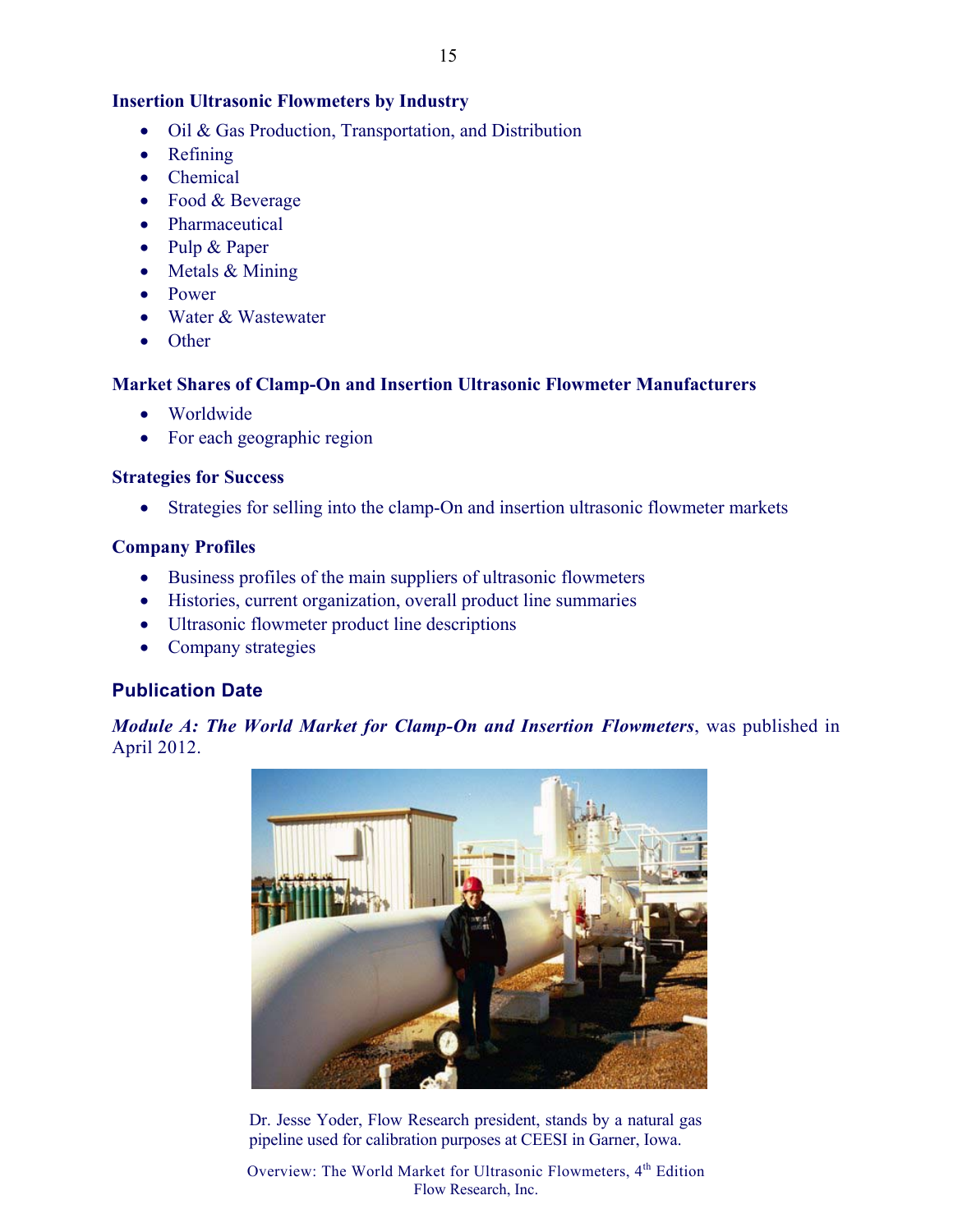### **Insertion Ultrasonic Flowmeters by Industry**

- Oil & Gas Production, Transportation, and Distribution
- Refining
- Chemical
- Food & Beverage
- Pharmaceutical
- Pulp & Paper
- Metals & Mining
- Power
- Water & Wastewater
- Other

### **Market Shares of Clamp-On and Insertion Ultrasonic Flowmeter Manufacturers**

- Worldwide
- For each geographic region

### **Strategies for Success**

• Strategies for selling into the clamp-On and insertion ultrasonic flowmeter markets

### **Company Profiles**

- Business profiles of the main suppliers of ultrasonic flowmeters
- Histories, current organization, overall product line summaries
- Ultrasonic flowmeter product line descriptions
- Company strategies

## **Publication Date**

*Module A: The World Market for Clamp-On and Insertion Flowmeters*, was published in April 2012.



Dr. Jesse Yoder, Flow Research president, stands by a natural gas pipeline used for calibration purposes at CEESI in Garner, Iowa.

Overview: The World Market for Ultrasonic Flowmeters, 4<sup>th</sup> Edition Flow Research, Inc.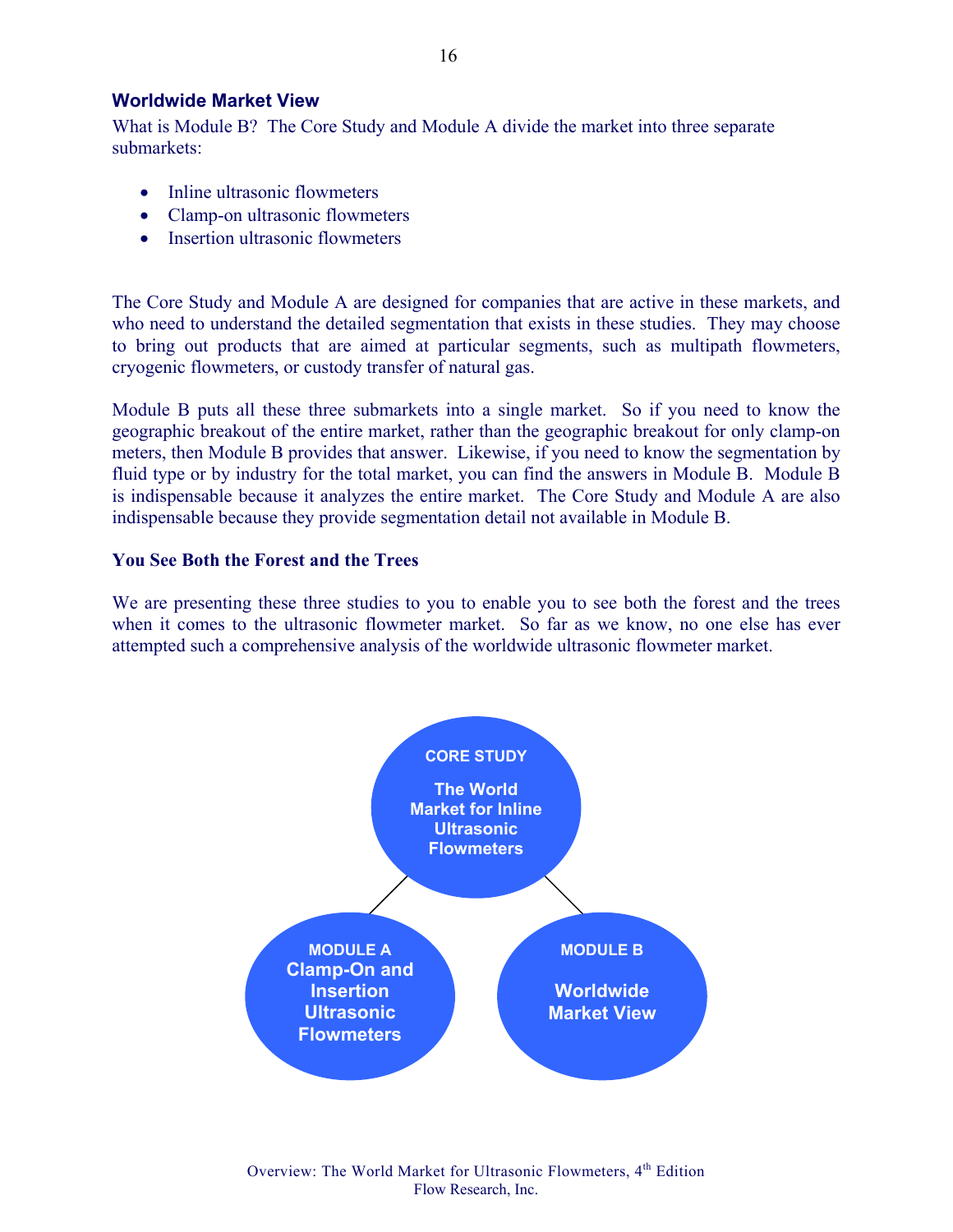#### **Worldwide Market View**

What is Module B? The Core Study and Module A divide the market into three separate submarkets:

- Inline ultrasonic flowmeters
- Clamp-on ultrasonic flowmeters
- Insertion ultrasonic flowmeters

The Core Study and Module A are designed for companies that are active in these markets, and who need to understand the detailed segmentation that exists in these studies. They may choose to bring out products that are aimed at particular segments, such as multipath flowmeters, cryogenic flowmeters, or custody transfer of natural gas.

Module B puts all these three submarkets into a single market. So if you need to know the geographic breakout of the entire market, rather than the geographic breakout for only clamp-on meters, then Module B provides that answer. Likewise, if you need to know the segmentation by fluid type or by industry for the total market, you can find the answers in Module B. Module B is indispensable because it analyzes the entire market. The Core Study and Module A are also indispensable because they provide segmentation detail not available in Module B.

#### **You See Both the Forest and the Trees**

We are presenting these three studies to you to enable you to see both the forest and the trees when it comes to the ultrasonic flowmeter market. So far as we know, no one else has ever attempted such a comprehensive analysis of the worldwide ultrasonic flowmeter market.

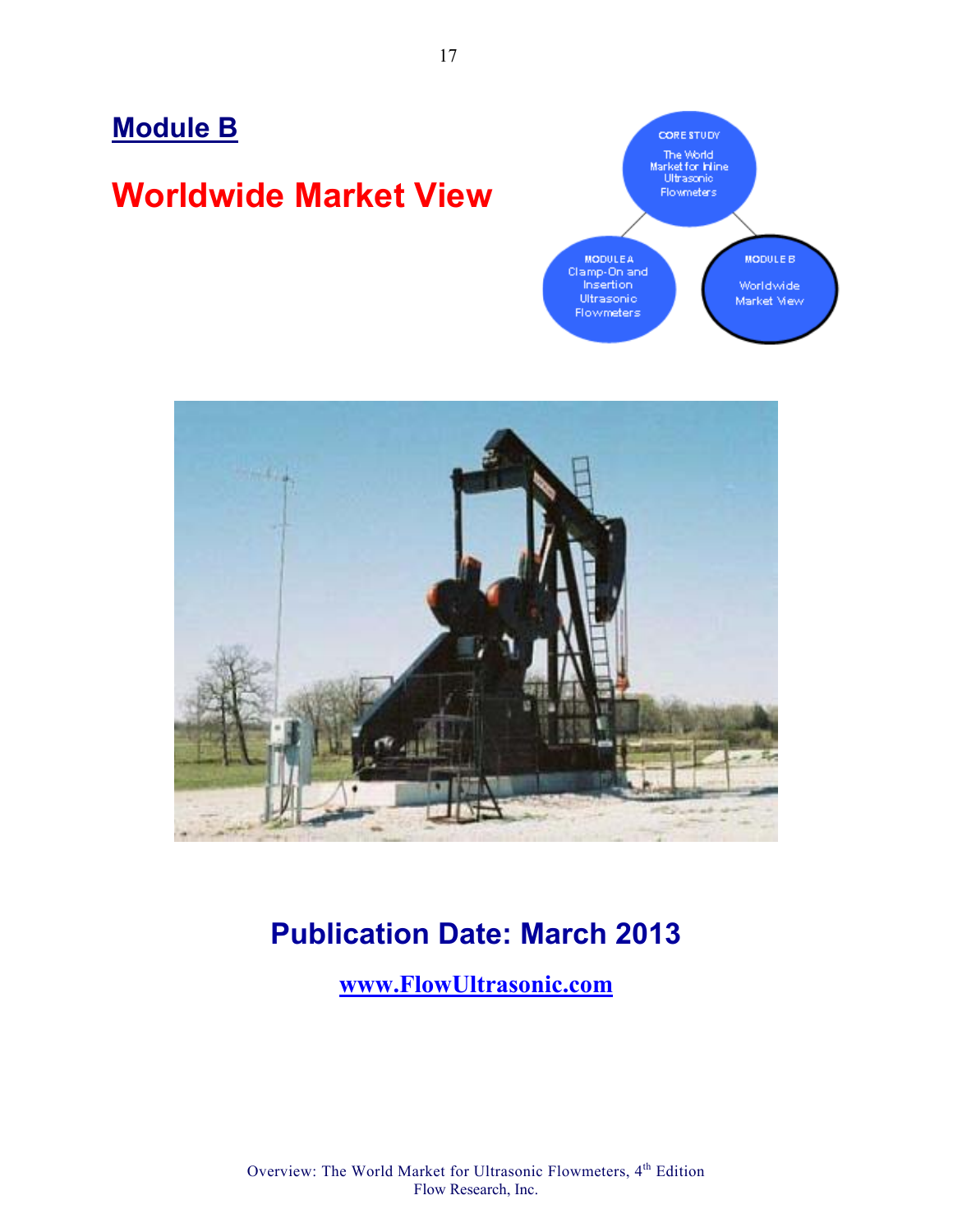# **Module B**

# **Worldwide Market View**





## **Publication Date: March 2013**

**www.FlowUltrasonic.com**

Overview: The World Market for Ultrasonic Flowmeters, 4<sup>th</sup> Edition Flow Research, Inc.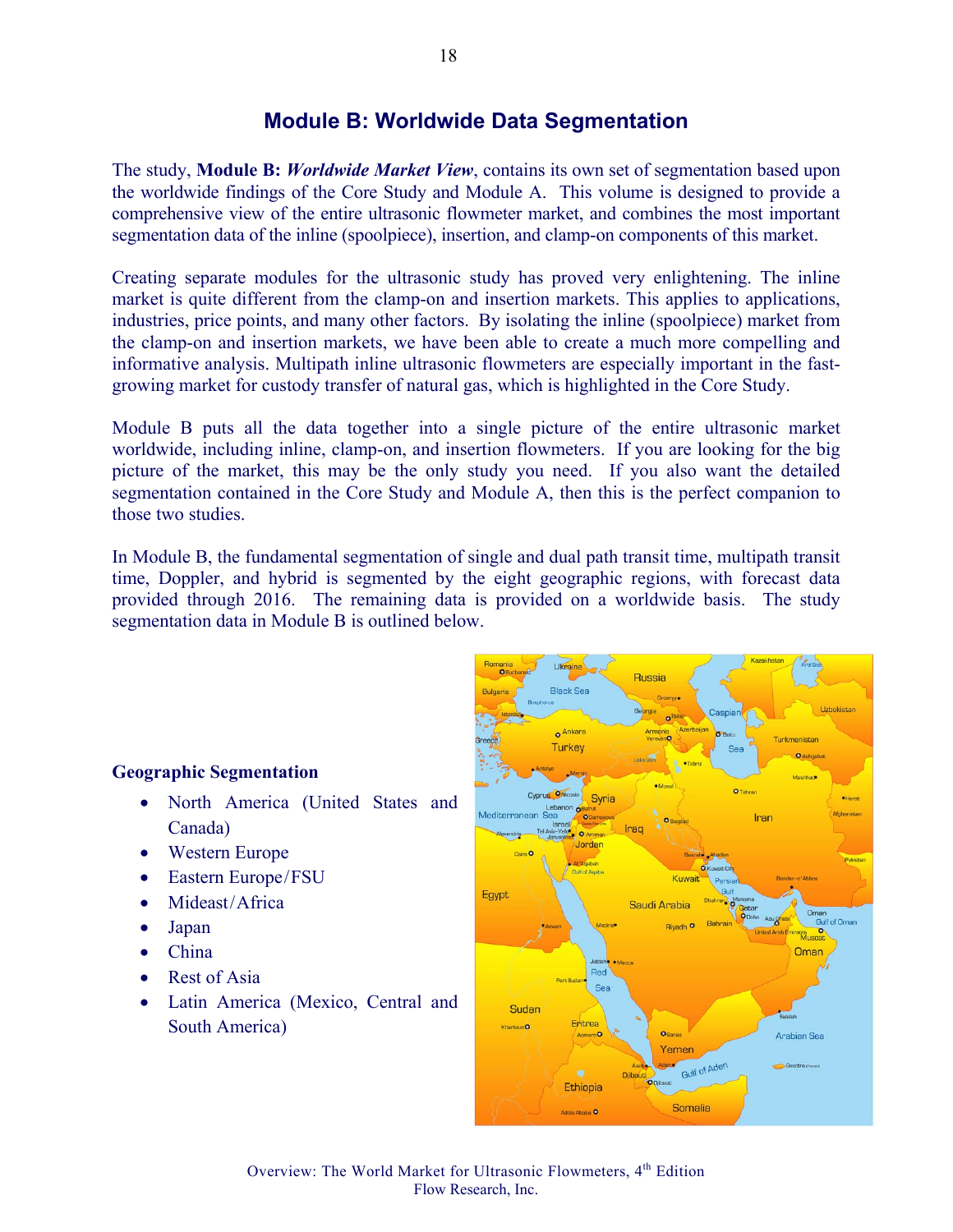## **Module B: Worldwide Data Segmentation**

The study, **Module B:** *Worldwide Market View*, contains its own set of segmentation based upon the worldwide findings of the Core Study and Module A. This volume is designed to provide a comprehensive view of the entire ultrasonic flowmeter market, and combines the most important segmentation data of the inline (spoolpiece), insertion, and clamp-on components of this market.

Creating separate modules for the ultrasonic study has proved very enlightening. The inline market is quite different from the clamp-on and insertion markets. This applies to applications, industries, price points, and many other factors. By isolating the inline (spoolpiece) market from the clamp-on and insertion markets, we have been able to create a much more compelling and informative analysis. Multipath inline ultrasonic flowmeters are especially important in the fastgrowing market for custody transfer of natural gas, which is highlighted in the Core Study.

Module B puts all the data together into a single picture of the entire ultrasonic market worldwide, including inline, clamp-on, and insertion flowmeters. If you are looking for the big picture of the market, this may be the only study you need. If you also want the detailed segmentation contained in the Core Study and Module A, then this is the perfect companion to those two studies.

In Module B, the fundamental segmentation of single and dual path transit time, multipath transit time, Doppler, and hybrid is segmented by the eight geographic regions, with forecast data provided through 2016. The remaining data is provided on a worldwide basis. The study segmentation data in Module B is outlined below.

#### **Geographic Segmentation**

- North America (United States and Canada)
- Western Europe
- Eastern Europe/FSU
- Mideast/Africa
- Japan
- China
- Rest of Asia
- Latin America (Mexico, Central and South America)

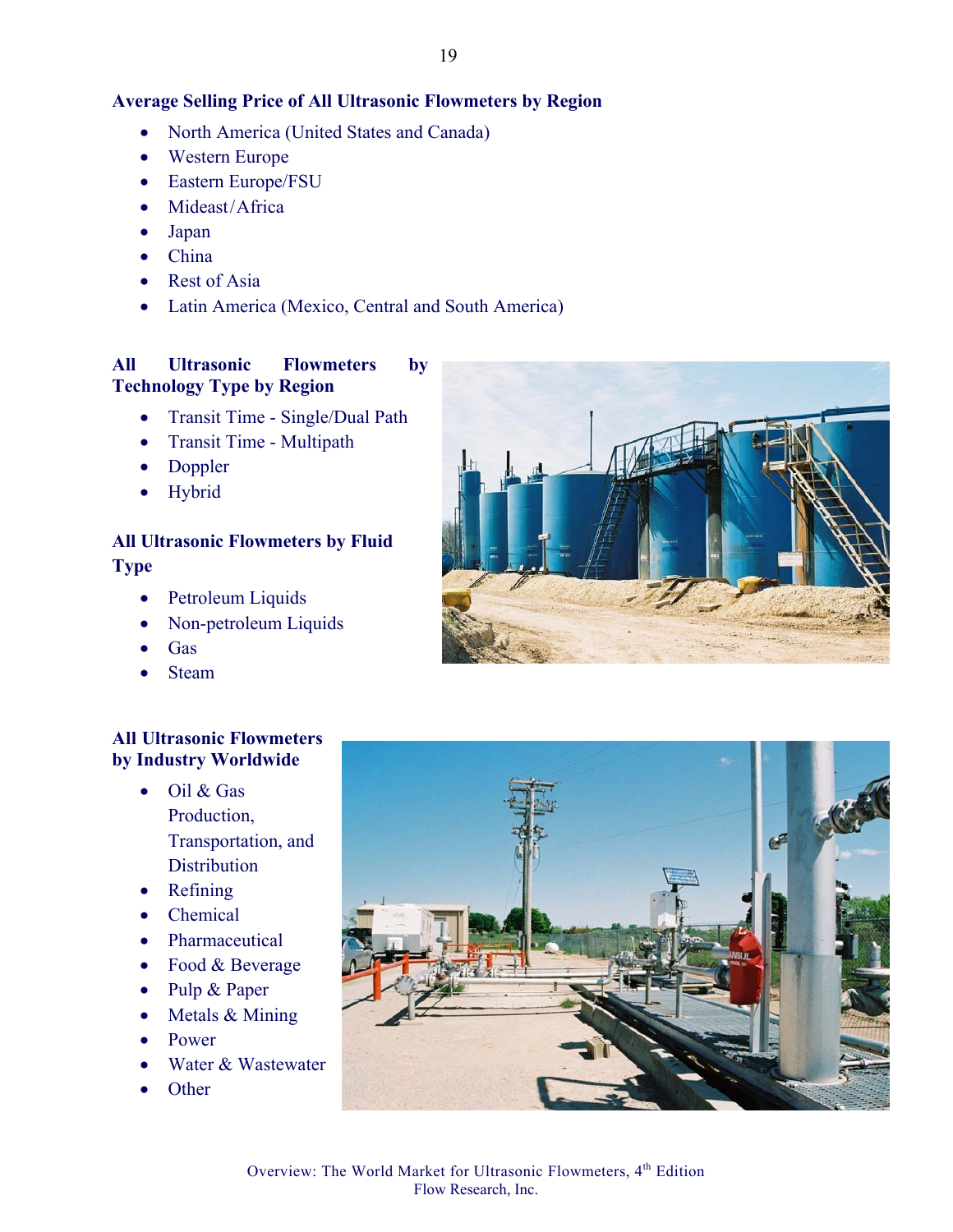#### **Average Selling Price of All Ultrasonic Flowmeters by Region**

- North America (United States and Canada)
- Western Europe
- Eastern Europe/FSU
- Mideast/Africa
- Japan
- China
- Rest of Asia
- Latin America (Mexico, Central and South America)

#### **All Ultrasonic Flowmeters by Technology Type by Region**

- Transit Time Single/Dual Path
- Transit Time Multipath
- Doppler
- Hybrid

## **All Ultrasonic Flowmeters by Fluid Type**

- - Petroleum Liquids
	- Non-petroleum Liquids
	- Gas
	- Steam

#### **All Ultrasonic Flowmeters by Industry Worldwide**

- Oil & Gas Production, Transportation, and **Distribution**
- Refining
- Chemical
- Pharmaceutical
- Food & Beverage
- Pulp & Paper
- Metals & Mining
- Power
- Water & Wastewater
- Other



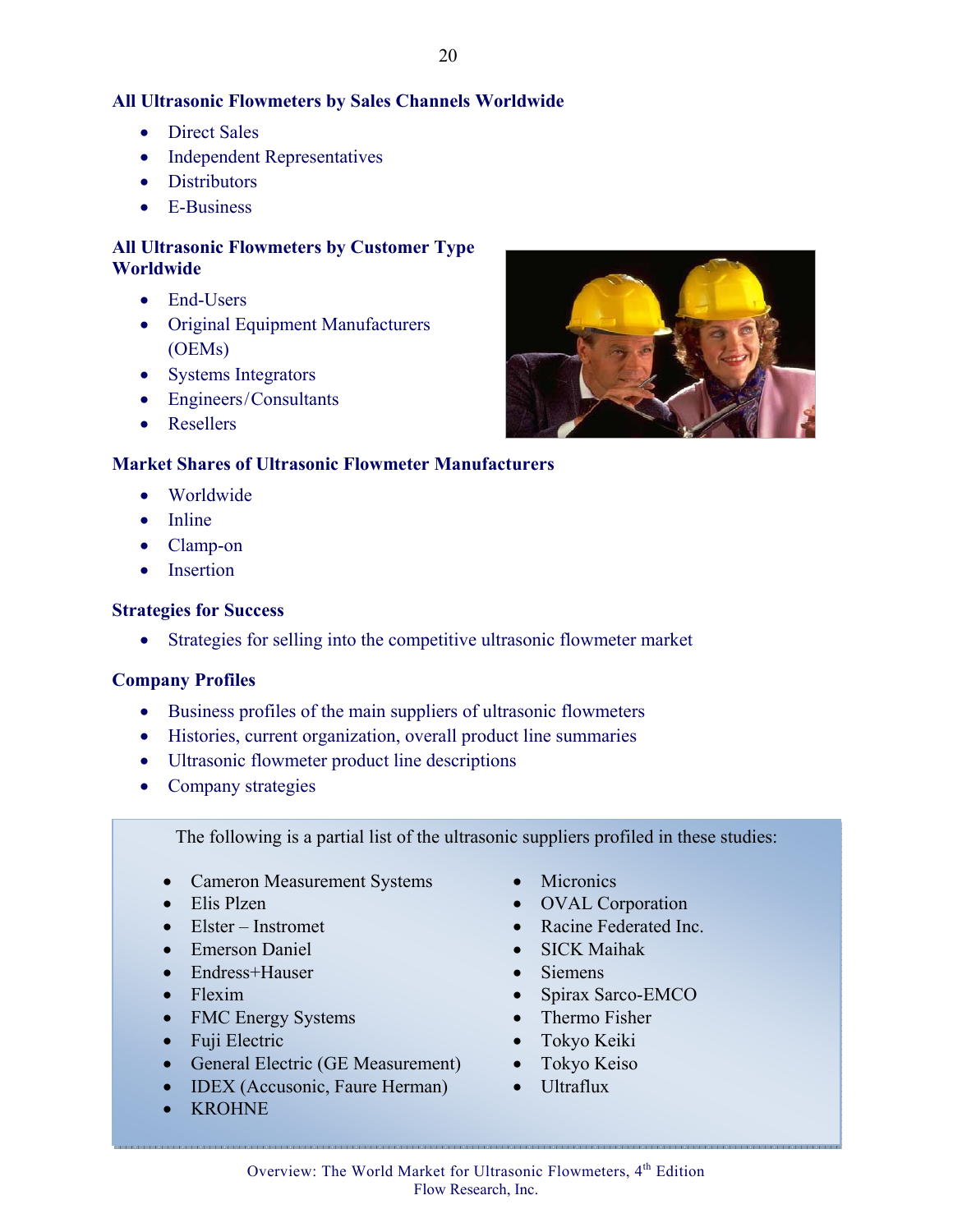#### **All Ultrasonic Flowmeters by Sales Channels Worldwide**

- Direct Sales
- Independent Representatives
- Distributors
- E-Business

#### **All Ultrasonic Flowmeters by Customer Type Worldwide**

- End-Users
- Original Equipment Manufacturers (OEMs)
- Systems Integrators
- Engineers/Consultants
- Resellers

#### **Market Shares of Ultrasonic Flowmeter Manufacturers**

- Worldwide
- Inline
- Clamp-on
- Insertion

#### **Strategies for Success**

• Strategies for selling into the competitive ultrasonic flowmeter market

#### **Company Profiles**

- Business profiles of the main suppliers of ultrasonic flowmeters
- Histories, current organization, overall product line summaries
- Ultrasonic flowmeter product line descriptions
- Company strategies

The following is a partial list of the ultrasonic suppliers profiled in these studies:

- Cameron Measurement Systems
- Elis Plzen
- Elster Instromet
- Emerson Daniel
- Endress+Hauser
- Flexim
- FMC Energy Systems
- Fuji Electric
- General Electric (GE Measurement)
- **IDEX** (Accusonic, Faure Herman)
- KROHNE
- Micronics
- OVAL Corporation
- Racine Federated Inc.
- SICK Maihak
- Siemens
- Spirax Sarco-EMCO
- Thermo Fisher
- Tokyo Keiki
- Tokyo Keiso
- Ultraflux

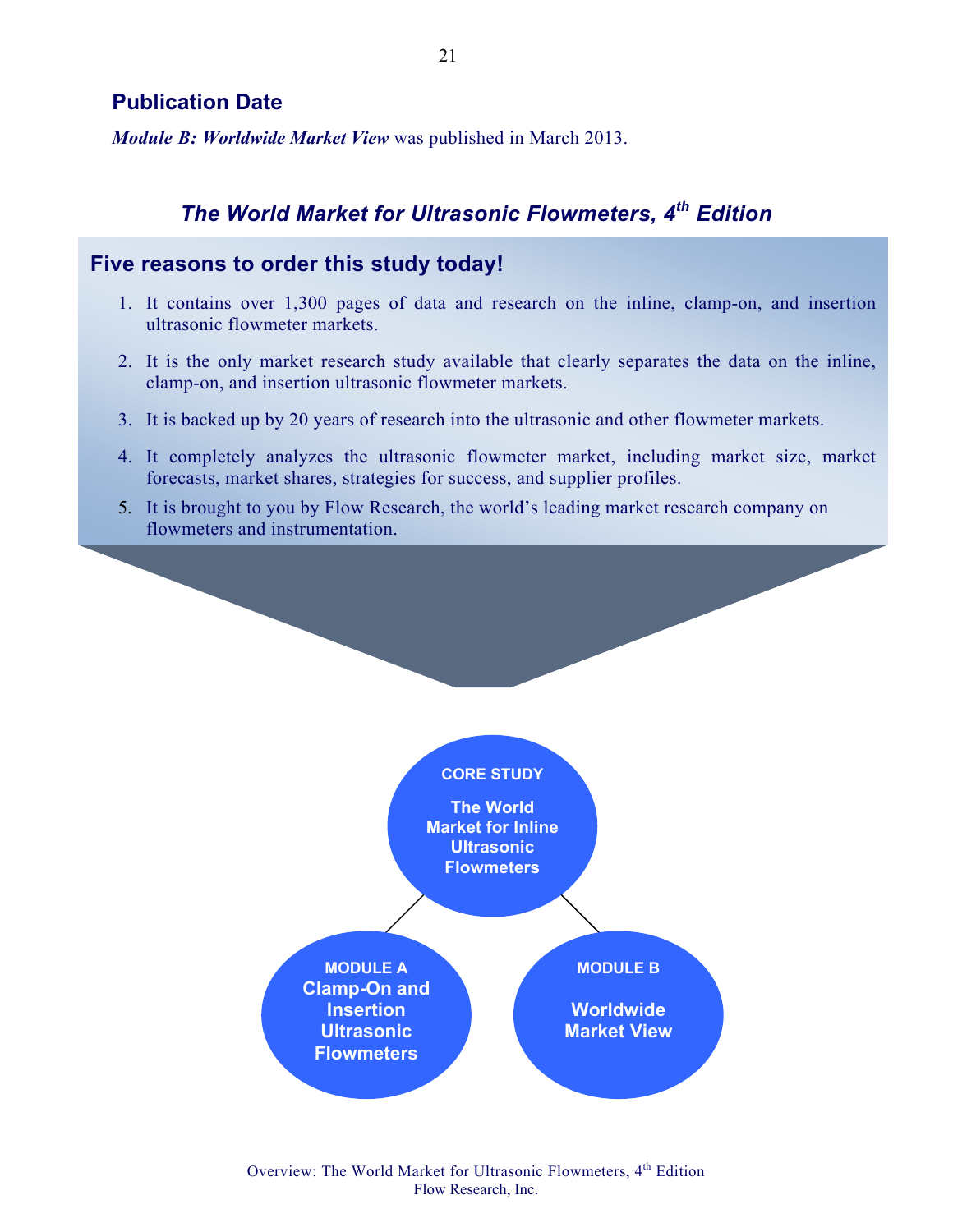## **Publication Date**

*Module B: Worldwide Market View* was published in March 2013.

## *The World Market for Ultrasonic Flowmeters, 4th Edition*

## **Five reasons to order this study today!**

- 1. It contains over 1,300 pages of data and research on the inline, clamp-on, and insertion ultrasonic flowmeter markets.
- 2. It is the only market research study available that clearly separates the data on the inline, clamp-on, and insertion ultrasonic flowmeter markets.
- 3. It is backed up by 20 years of research into the ultrasonic and other flowmeter markets.
- 4. It completely analyzes the ultrasonic flowmeter market, including market size, market forecasts, market shares, strategies for success, and supplier profiles.
- 5. It is brought to you by Flow Research, the world's leading market research company on flowmeters and instrumentation.



Overview: The World Market for Ultrasonic Flowmeters, 4<sup>th</sup> Edition Flow Research, Inc.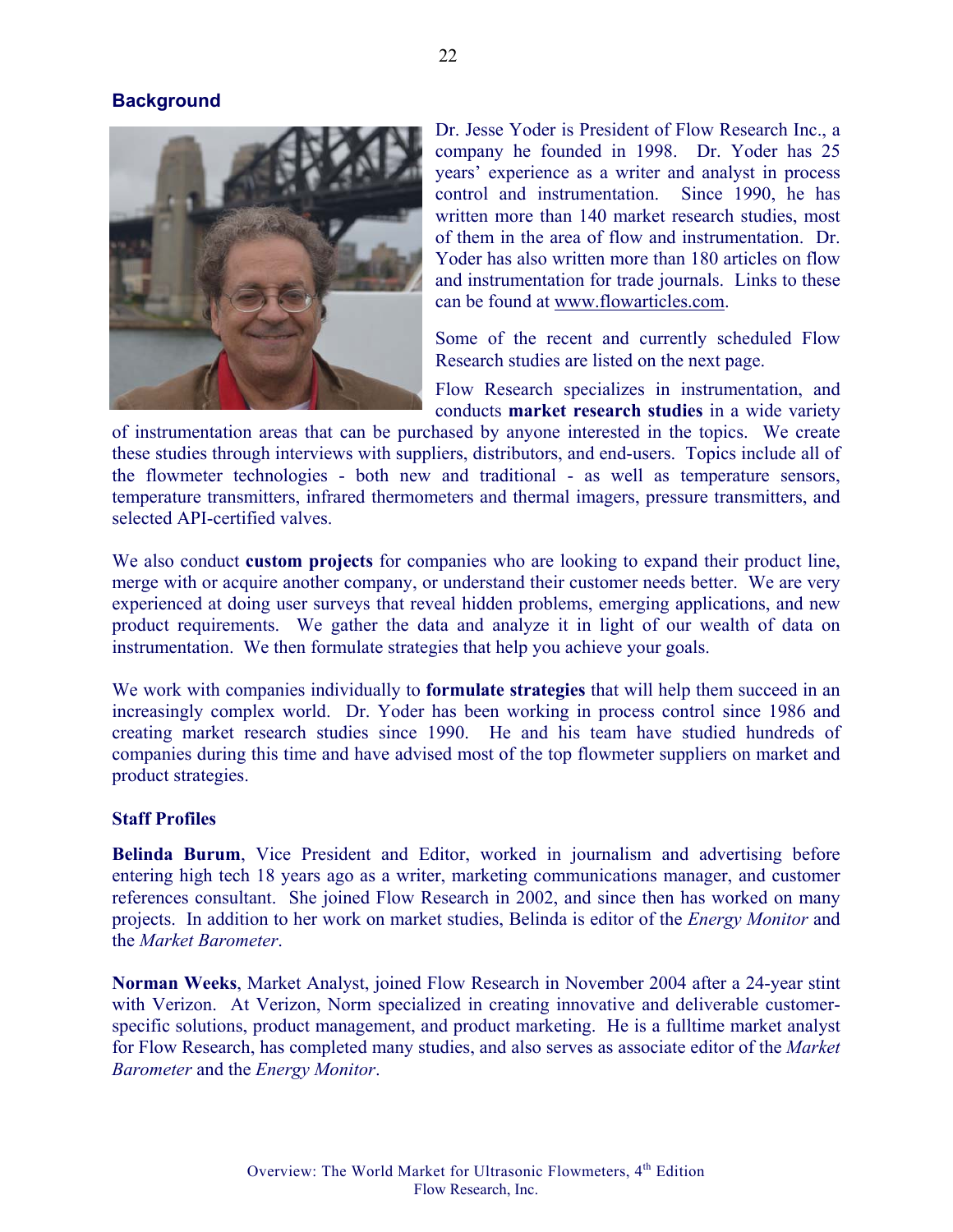#### **Background**



Dr. Jesse Yoder is President of Flow Research Inc., a company he founded in 1998. Dr. Yoder has 25 years' experience as a writer and analyst in process control and instrumentation. Since 1990, he has written more than 140 market research studies, most of them in the area of flow and instrumentation. Dr. Yoder has also written more than 180 articles on flow and instrumentation for trade journals. Links to these can be found at www.flowarticles.com.

Some of the recent and currently scheduled Flow Research studies are listed on the next page.

Flow Research specializes in instrumentation, and conducts **market research studies** in a wide variety

of instrumentation areas that can be purchased by anyone interested in the topics. We create these studies through interviews with suppliers, distributors, and end-users. Topics include all of the flowmeter technologies - both new and traditional - as well as temperature sensors, temperature transmitters, infrared thermometers and thermal imagers, pressure transmitters, and selected API-certified valves.

We also conduct **custom projects** for companies who are looking to expand their product line, merge with or acquire another company, or understand their customer needs better. We are very experienced at doing user surveys that reveal hidden problems, emerging applications, and new product requirements. We gather the data and analyze it in light of our wealth of data on instrumentation. We then formulate strategies that help you achieve your goals.

We work with companies individually to **formulate strategies** that will help them succeed in an increasingly complex world. Dr. Yoder has been working in process control since 1986 and creating market research studies since 1990. He and his team have studied hundreds of companies during this time and have advised most of the top flowmeter suppliers on market and product strategies.

#### **Staff Profiles**

**Belinda Burum**, Vice President and Editor, worked in journalism and advertising before entering high tech 18 years ago as a writer, marketing communications manager, and customer references consultant. She joined Flow Research in 2002, and since then has worked on many projects. In addition to her work on market studies, Belinda is editor of the *Energy Monitor* and the *Market Barometer*.

**Norman Weeks**, Market Analyst, joined Flow Research in November 2004 after a 24-year stint with Verizon. At Verizon, Norm specialized in creating innovative and deliverable customerspecific solutions, product management, and product marketing. He is a fulltime market analyst for Flow Research, has completed many studies, and also serves as associate editor of the *Market Barometer* and the *Energy Monitor*.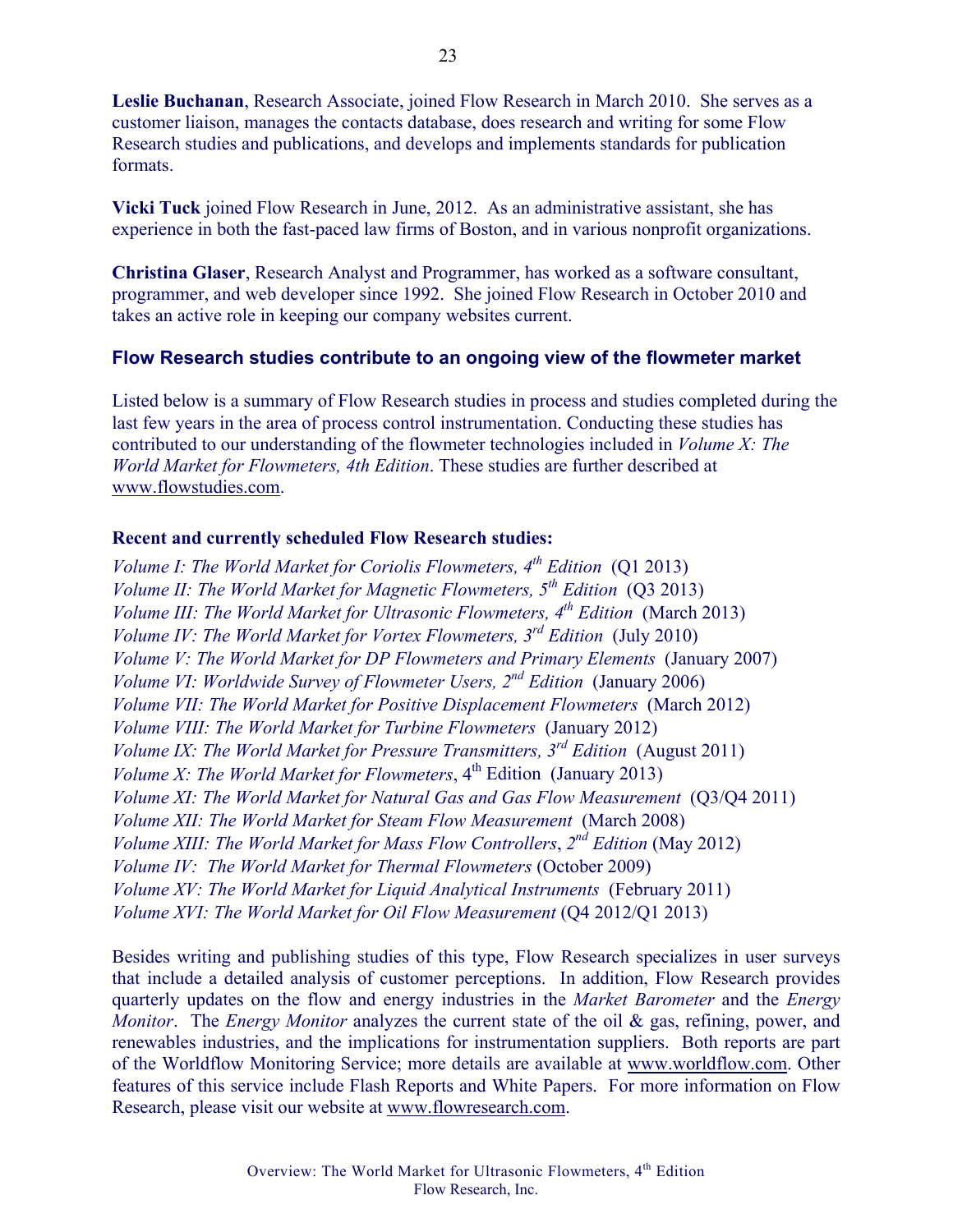**Leslie Buchanan**, Research Associate, joined Flow Research in March 2010. She serves as a customer liaison, manages the contacts database, does research and writing for some Flow Research studies and publications, and develops and implements standards for publication formats.

**Vicki Tuck** joined Flow Research in June, 2012. As an administrative assistant, she has experience in both the fast-paced law firms of Boston, and in various nonprofit organizations.

**Christina Glaser**, Research Analyst and Programmer, has worked as a software consultant, programmer, and web developer since 1992. She joined Flow Research in October 2010 and takes an active role in keeping our company websites current.

#### **Flow Research studies contribute to an ongoing view of the flowmeter market**

Listed below is a summary of Flow Research studies in process and studies completed during the last few years in the area of process control instrumentation. Conducting these studies has contributed to our understanding of the flowmeter technologies included in *Volume X: The World Market for Flowmeters, 4th Edition*. These studies are further described at www.flowstudies.com.

#### **Recent and currently scheduled Flow Research studies:**

*Volume I: The World Market for Coriolis Flowmeters, 4th Edition* (Q1 2013) *Volume II: The World Market for Magnetic Flowmeters, 5th Edition* (Q3 2013) *Volume III: The World Market for Ultrasonic Flowmeters, 4<sup>th</sup> Edition (March 2013) Volume IV: The World Market for Vortex Flowmeters, 3rd Edition* (July 2010) *Volume V: The World Market for DP Flowmeters and Primary Elements* (January 2007) *Volume VI: Worldwide Survey of Flowmeter Users, 2nd Edition* (January 2006) *Volume VII: The World Market for Positive Displacement Flowmeters* (March 2012) *Volume VIII: The World Market for Turbine Flowmeters* (January 2012) *Volume IX: The World Market for Pressure Transmitters, 3rd Edition* (August 2011) *Volume X: The World Market for Flowmeters*,  $4^{th}$  Edition (January 2013) *Volume XI: The World Market for Natural Gas and Gas Flow Measurement* (Q3/Q4 2011) *Volume XII: The World Market for Steam Flow Measurement* (March 2008) *Volume XIII: The World Market for Mass Flow Controllers*, *2nd Edition* (May 2012) *Volume IV: The World Market for Thermal Flowmeters* (October 2009) *Volume XV: The World Market for Liquid Analytical Instruments* (February 2011) *Volume XVI: The World Market for Oil Flow Measurement* (O4 2012/Q1 2013)

Besides writing and publishing studies of this type, Flow Research specializes in user surveys that include a detailed analysis of customer perceptions. In addition, Flow Research provides quarterly updates on the flow and energy industries in the *Market Barometer* and the *Energy Monitor*. The *Energy Monitor* analyzes the current state of the oil & gas, refining, power, and renewables industries, and the implications for instrumentation suppliers. Both reports are part of the Worldflow Monitoring Service; more details are available at www.worldflow.com. Other features of this service include Flash Reports and White Papers. For more information on Flow Research, please visit our website at www.flowresearch.com.